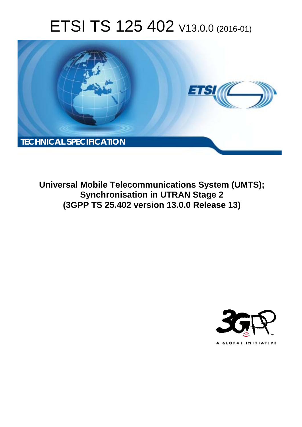# ETSI TS 125 402 V13.0.0 (2016-01)



**Universal Mobile Tel elecommunications System ( (UMTS); Synchronisation in UTRAN Stage 2 (3GPP TS 25.4 .402 version 13.0.0 Release 13 13)** 

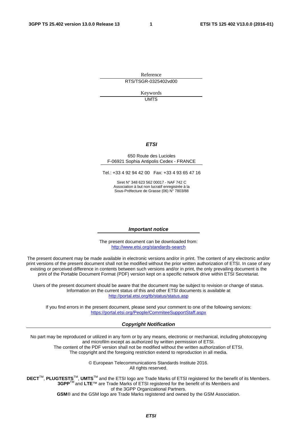Reference RTS/TSGR-0325402vd00

> Keywords UMTS

### *ETSI*

#### 650 Route des Lucioles F-06921 Sophia Antipolis Cedex - FRANCE

Tel.: +33 4 92 94 42 00 Fax: +33 4 93 65 47 16

Siret N° 348 623 562 00017 - NAF 742 C Association à but non lucratif enregistrée à la Sous-Préfecture de Grasse (06) N° 7803/88

#### *Important notice*

The present document can be downloaded from: <http://www.etsi.org/standards-search>

The present document may be made available in electronic versions and/or in print. The content of any electronic and/or print versions of the present document shall not be modified without the prior written authorization of ETSI. In case of any existing or perceived difference in contents between such versions and/or in print, the only prevailing document is the print of the Portable Document Format (PDF) version kept on a specific network drive within ETSI Secretariat.

Users of the present document should be aware that the document may be subject to revision or change of status. Information on the current status of this and other ETSI documents is available at <http://portal.etsi.org/tb/status/status.asp>

If you find errors in the present document, please send your comment to one of the following services: <https://portal.etsi.org/People/CommiteeSupportStaff.aspx>

#### *Copyright Notification*

No part may be reproduced or utilized in any form or by any means, electronic or mechanical, including photocopying and microfilm except as authorized by written permission of ETSI.

The content of the PDF version shall not be modified without the written authorization of ETSI. The copyright and the foregoing restriction extend to reproduction in all media.

> © European Telecommunications Standards Institute 2016. All rights reserved.

**DECT**TM, **PLUGTESTS**TM, **UMTS**TM and the ETSI logo are Trade Marks of ETSI registered for the benefit of its Members. **3GPP**TM and **LTE**™ are Trade Marks of ETSI registered for the benefit of its Members and of the 3GPP Organizational Partners.

**GSM**® and the GSM logo are Trade Marks registered and owned by the GSM Association.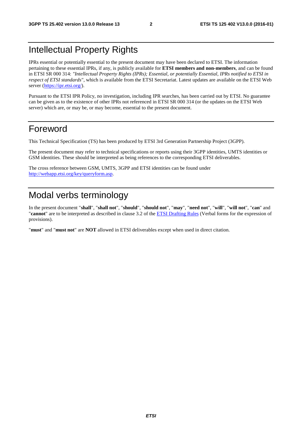## Intellectual Property Rights

IPRs essential or potentially essential to the present document may have been declared to ETSI. The information pertaining to these essential IPRs, if any, is publicly available for **ETSI members and non-members**, and can be found in ETSI SR 000 314: *"Intellectual Property Rights (IPRs); Essential, or potentially Essential, IPRs notified to ETSI in respect of ETSI standards"*, which is available from the ETSI Secretariat. Latest updates are available on the ETSI Web server [\(https://ipr.etsi.org/](https://ipr.etsi.org/)).

Pursuant to the ETSI IPR Policy, no investigation, including IPR searches, has been carried out by ETSI. No guarantee can be given as to the existence of other IPRs not referenced in ETSI SR 000 314 (or the updates on the ETSI Web server) which are, or may be, or may become, essential to the present document.

## Foreword

This Technical Specification (TS) has been produced by ETSI 3rd Generation Partnership Project (3GPP).

The present document may refer to technical specifications or reports using their 3GPP identities, UMTS identities or GSM identities. These should be interpreted as being references to the corresponding ETSI deliverables.

The cross reference between GSM, UMTS, 3GPP and ETSI identities can be found under [http://webapp.etsi.org/key/queryform.as](http://webapp.etsi.org/key/queryform.asp)p.

## Modal verbs terminology

In the present document "**shall**", "**shall not**", "**should**", "**should not**", "**may**", "**need not**", "**will**", "**will not**", "**can**" and "**cannot**" are to be interpreted as described in clause 3.2 of the [ETSI Drafting Rules](http://portal.etsi.org/Help/editHelp!/Howtostart/ETSIDraftingRules.aspx) (Verbal forms for the expression of provisions).

"**must**" and "**must not**" are **NOT** allowed in ETSI deliverables except when used in direct citation.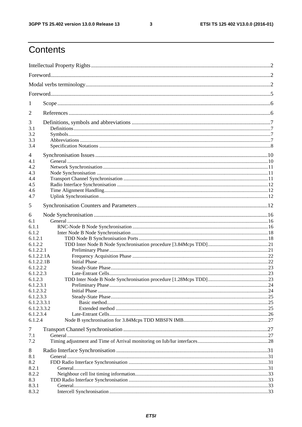$\mathbf{3}$ 

## Contents

| 1                    |  |
|----------------------|--|
| 2                    |  |
| 3                    |  |
| 3.1                  |  |
| 3.2                  |  |
| 3.3<br>3.4           |  |
| 4                    |  |
| 4.1                  |  |
| 4.2                  |  |
| 4.3                  |  |
| 4.4                  |  |
| 4.5                  |  |
| 4.6<br>4.7           |  |
|                      |  |
| 5                    |  |
| 6                    |  |
| 6.1<br>6.1.1         |  |
| 6.1.2                |  |
| 6.1.2.1              |  |
| 6.1.2.2              |  |
| 6.1.2.2.1            |  |
| 6.1.2.2.1A           |  |
| 6.1.2.2.1B           |  |
| 6.1.2.2.2            |  |
| 6.1.2.2.3            |  |
| 6.1.2.3<br>6.1.2.3.1 |  |
| 6.1.2.3.2            |  |
| 6.1.2.3.3            |  |
| 6.1.2.3.3.1          |  |
| 6.1.2.3.3.2          |  |
| 6.1.2.3.4            |  |
| 6.1.2.4              |  |
| 7                    |  |
| 7.1                  |  |
| 7.2                  |  |
| 8                    |  |
| 8.1                  |  |
| 8.2                  |  |
| 8.2.1                |  |
| 8.2.2                |  |
| 8.3                  |  |
| 8.3.1                |  |
| 8.3.2                |  |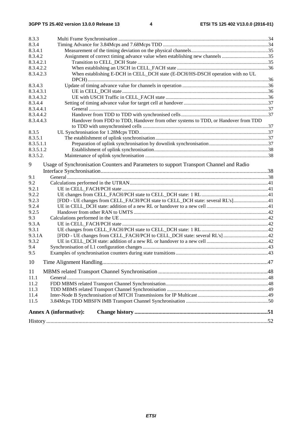| 8.3.3     |                                                                                         |  |  |  |  |
|-----------|-----------------------------------------------------------------------------------------|--|--|--|--|
| 8.3.4     |                                                                                         |  |  |  |  |
| 8.3.4.1   |                                                                                         |  |  |  |  |
| 8.3.4.2   | Assignment of correct timing advance value when establishing new channels 35            |  |  |  |  |
| 8.3.4.2.1 |                                                                                         |  |  |  |  |
| 8.3.4.2.2 |                                                                                         |  |  |  |  |
| 8.3.4.2.3 | When establishing E-DCH in CELL_DCH state (E-DCH/HS-DSCH operation with no UL           |  |  |  |  |
|           |                                                                                         |  |  |  |  |
| 8.3.4.3   |                                                                                         |  |  |  |  |
| 8.3.4.3.1 |                                                                                         |  |  |  |  |
| 8.3.4.3.2 |                                                                                         |  |  |  |  |
| 8.3.4.4   |                                                                                         |  |  |  |  |
| 8.3.4.4.1 |                                                                                         |  |  |  |  |
| 8.3.4.4.2 |                                                                                         |  |  |  |  |
| 8.3.4.4.3 | Handover from FDD to TDD, Handover from other systems to TDD, or Handover from TDD      |  |  |  |  |
|           |                                                                                         |  |  |  |  |
| 8.3.5     |                                                                                         |  |  |  |  |
| 8.3.5.1   |                                                                                         |  |  |  |  |
| 8.3.5.1.1 |                                                                                         |  |  |  |  |
| 8.3.5.1.2 |                                                                                         |  |  |  |  |
| 8.3.5.2.  |                                                                                         |  |  |  |  |
| 9         | Usage of Synchronisation Counters and Parameters to support Transport Channel and Radio |  |  |  |  |
|           |                                                                                         |  |  |  |  |
| 9.1       |                                                                                         |  |  |  |  |
| 9.2       |                                                                                         |  |  |  |  |
| 9.2.1     |                                                                                         |  |  |  |  |
| 9.2.2     |                                                                                         |  |  |  |  |
| 9.2.3     | [FDD - UE changes from CELL_FACH/PCH state to CELL_DCH state: several RL's]41           |  |  |  |  |
| 9.2.4     |                                                                                         |  |  |  |  |
| 9.2.5     |                                                                                         |  |  |  |  |
| 9.3       |                                                                                         |  |  |  |  |
| 9.3.A     |                                                                                         |  |  |  |  |
| 9.3.1     |                                                                                         |  |  |  |  |
| 9.3.1A    |                                                                                         |  |  |  |  |
| 9.3.2     |                                                                                         |  |  |  |  |
| 9.4       |                                                                                         |  |  |  |  |
| 9.5       |                                                                                         |  |  |  |  |
| 10        |                                                                                         |  |  |  |  |
| 11        |                                                                                         |  |  |  |  |
| 11.1      |                                                                                         |  |  |  |  |
| 11.2      |                                                                                         |  |  |  |  |
| 11.3      |                                                                                         |  |  |  |  |
| 11.4      |                                                                                         |  |  |  |  |
| 11.5      |                                                                                         |  |  |  |  |
|           |                                                                                         |  |  |  |  |
|           | <b>Annex A (informative):</b>                                                           |  |  |  |  |
|           |                                                                                         |  |  |  |  |
|           |                                                                                         |  |  |  |  |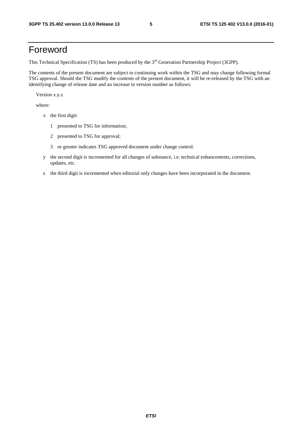## Foreword

This Technical Specification (TS) has been produced by the 3<sup>rd</sup> Generation Partnership Project (3GPP).

The contents of the present document are subject to continuing work within the TSG and may change following formal TSG approval. Should the TSG modify the contents of the present document, it will be re-released by the TSG with an identifying change of release date and an increase in version number as follows:

Version x.y.z

where:

- x the first digit:
	- 1 presented to TSG for information;
	- 2 presented to TSG for approval;
	- 3 or greater indicates TSG approved document under change control.
- y the second digit is incremented for all changes of substance, i.e. technical enhancements, corrections, updates, etc.
- z the third digit is incremented when editorial only changes have been incorporated in the document.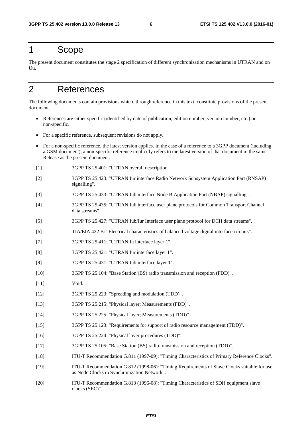## 1 Scope

The present document constitutes the stage 2 specification of different synchronisation mechanisms in UTRAN and on  $U<sub>II</sub>$ 

## 2 References

The following documents contain provisions which, through reference in this text, constitute provisions of the present document.

- References are either specific (identified by date of publication, edition number, version number, etc.) or non-specific.
- For a specific reference, subsequent revisions do not apply.
- For a non-specific reference, the latest version applies. In the case of a reference to a 3GPP document (including a GSM document), a non-specific reference implicitly refers to the latest version of that document in the same Release as the present document.
- [1] 3GPP TS 25.401: "UTRAN overall description".
- [2] 3GPP TS 25.423: "UTRAN Iur interface Radio Network Subsystem Application Part (RNSAP) signalling".
- [3] 3GPP TS 25.433: "UTRAN Iub interface Node B Application Part (NBAP) signalling".
- [4] 3GPP TS 25.435: "UTRAN Iub interface user plane protocols for Common Transport Channel data streams".
- [5] 3GPP TS 25.427: "UTRAN Iub/Iur Interface user plane protocol for DCH data streams".
- [6] TIA/EIA 422 B: "Electrical characteristics of balanced voltage digital interface circuits".
- [7] 3GPP TS 25.411: "UTRAN Iu interface layer 1".
- [8] 3GPP TS 25.421: "UTRAN Iur interface layer 1".
- [9] 3GPP TS 25.431: "UTRAN Iub interface layer 1".
- [10] 3GPP TS 25.104: "Base Station (BS) radio transmission and reception (FDD)".
- [11] **Void.**
- [12] 3GPP TS 25.223: "Spreading and modulation (TDD)".
- [13] 3GPP TS 25.215: "Physical layer; Measurements (FDD)".
- [14] 3GPP TS 25.225: "Physical layer; Measurements (TDD)".
- [15] 3GPP TS 25.123: "Requirements for support of radio resource management (TDD)".
- [16] 3GPP TS 25.224: "Physical layer procedures (TDD)".
- [17] 3GPP TS 25.105: "Base Station (BS) radio transmission and reception (TDD)".
- [18] ITU-T Recommendation G.811 (1997-09): "Timing Characteristics of Primary Reference Clocks".
- [19] ITU-T Recommendation G.812 (1998-06): "Timing Requirements of Slave Clocks suitable for use as Node Clocks in Synchronization Network".
- [20] ITU-T Recommendation G.813 (1996-08): "Timing Characteristics of SDH equipment slave clocks (SEC)".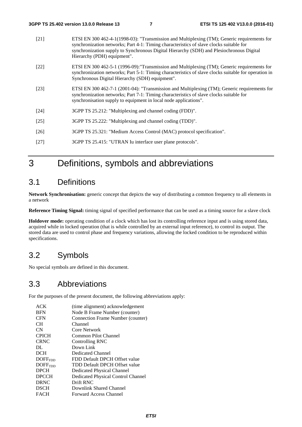| $[21]$ | ETSI EN 300 462-4-1(1998-03): "Transmission and Multiplexing (TM); Generic requirements for<br>synchronization networks; Part 4-1: Timing characteristics of slave clocks suitable for<br>synchronization supply to Synchronous Digital Hierarchy (SDH) and Plesiochronous Digital<br>Hierarchy (PDH) equipment". |
|--------|-------------------------------------------------------------------------------------------------------------------------------------------------------------------------------------------------------------------------------------------------------------------------------------------------------------------|
| [22]   | ETSI EN 300 462-5-1 (1996-09): "Transmission and Multiplexing (TM); Generic requirements for<br>synchronization networks; Part 5-1: Timing characteristics of slave clocks suitable for operation in<br>Synchronous Digital Hierarchy (SDH) equipment".                                                           |
| [23]   | ETSI EN 300 462-7-1 (2001-04): "Transmission and Multiplexing (TM); Generic requirements for<br>synchronization networks; Part 7-1: Timing characteristics of slave clocks suitable for<br>synchronisation supply to equipment in local node applications".                                                       |
| [24]   | 3GPP TS 25.212: "Multiplexing and channel coding (FDD)".                                                                                                                                                                                                                                                          |
| $[25]$ | 3GPP TS 25.222: "Multiplexing and channel coding (TDD)".                                                                                                                                                                                                                                                          |
| $[26]$ | 3GPP TS 25.321: "Medium Access Control (MAC) protocol specification".                                                                                                                                                                                                                                             |
| $[27]$ | 3GPP TS 25.415: "UTRAN Iu interface user plane protocols".                                                                                                                                                                                                                                                        |

## 3 Definitions, symbols and abbreviations

## 3.1 Definitions

**Network Synchronisation:** generic concept that depicts the way of distributing a common frequency to all elements in a network

**Reference Timing Signal:** timing signal of specified performance that can be used as a timing source for a slave clock

**Holdover mode:** operating condition of a clock which has lost its controlling reference input and is using stored data, acquired while in locked operation (that is while controlled by an external input reference), to control its output. The stored data are used to control phase and frequency variations, allowing the locked condition to be reproduced within specifications.

## 3.2 Symbols

No special symbols are defined in this document.

## 3.3 Abbreviations

For the purposes of the present document, the following abbreviations apply:

| <b>ACK</b>          | (time alignment) acknowledgement   |
|---------------------|------------------------------------|
| <b>BFN</b>          | Node B Frame Number (counter)      |
| <b>CFN</b>          | Connection Frame Number (counter)  |
| CH.                 | Channel                            |
| CN                  | Core Network                       |
| <b>CPICH</b>        | Common Pilot Channel               |
| <b>CRNC</b>         | Controlling RNC                    |
| DL                  | Down Link                          |
| <b>DCH</b>          | Dedicated Channel                  |
| DOFF <sub>FDD</sub> | FDD Default DPCH Offset value      |
| DOFF <sub>TDD</sub> | TDD Default DPCH Offset value      |
| <b>DPCH</b>         | Dedicated Physical Channel         |
| <b>DPCCH</b>        | Dedicated Physical Control Channel |
| <b>DRNC</b>         | Drift RNC                          |
| <b>DSCH</b>         | Downlink Shared Channel            |
| <b>FACH</b>         | Forward Access Channel             |
|                     |                                    |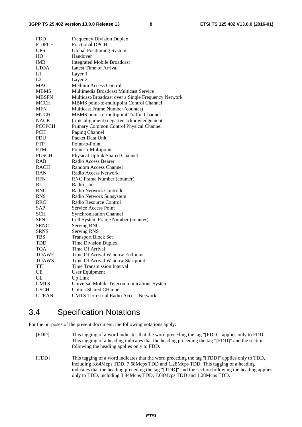| <b>FDD</b>    | <b>Frequency Division Duplex</b>                    |
|---------------|-----------------------------------------------------|
| <b>F-DPCH</b> | <b>Fractional DPCH</b>                              |
| <b>GPS</b>    | Global Positioning System                           |
| HO            | Handover                                            |
| <b>IMB</b>    | <b>Integrated Mobile Broadcast</b>                  |
| <b>LTOA</b>   | Latest Time of Arrival                              |
| L1            | Layer 1                                             |
| L2            | Layer 2                                             |
| MAC           | <b>Medium Access Control</b>                        |
| MBMS          | Multimedia Broadcast Multicast Service              |
| <b>MBSFN</b>  | Multicast/Broadcast over a Single Frequency Network |
| MCCH          | MBMS point-to-multipoint Control Channel            |
| <b>MFN</b>    | Multicast Frame Number (counter)                    |
| <b>MTCH</b>   | MBMS point-to-multipoint Traffic Channel            |
| <b>NACK</b>   | (time alignment) negative acknowledgement           |
| <b>PCCPCH</b> | Primary Common Control Physical Channel             |
| <b>PCH</b>    | Paging Channel                                      |
| PDU           | Packet Data Unit                                    |
| <b>PTP</b>    | Point-to-Point                                      |
| <b>PTM</b>    | Point-to-Multipoint                                 |
| <b>PUSCH</b>  | Physical Uplink Shared Channel                      |
| RAB           | Radio Access Bearer                                 |
| <b>RACH</b>   | Random Access Channel                               |
| RAN           | Radio Access Network                                |
| <b>RFN</b>    | RNC Frame Number (counter)                          |
| RL            | Radio Link                                          |
| RNC           | Radio Network Controller                            |
| <b>RNS</b>    | Radio Network Subsystem                             |
| RRC           | Radio Resource Control                              |
| SAP           | Service Access Point                                |
| <b>SCH</b>    | <b>Synchronisation Channel</b>                      |
| <b>SFN</b>    | Cell System Frame Number (counter)                  |
| SRNC          | Serving RNC                                         |
| <b>SRNS</b>   | <b>Serving RNS</b>                                  |
| TBS           | <b>Transport Block Set</b>                          |
| TDD           | <b>Time Division Duplex</b>                         |
| TOA           | Time Of Arrival                                     |
| <b>TOAWE</b>  | Time Of Arrival Window Endpoint                     |
| <b>TOAWS</b>  | Time Of Arrival Window Startpoint                   |
| TTI           | <b>Time Transmission Interval</b>                   |
| UE            | <b>User Equipment</b>                               |
| UL            | Up Link                                             |
| <b>UMTS</b>   | Universal Mobile Telecommunications System          |
| <b>USCH</b>   | <b>Uplink Shared CHannel</b>                        |
| <b>UTRAN</b>  | <b>UMTS Terrestrial Radio Access Network</b>        |

## 3.4 Specification Notations

For the purposes of the present document, the following notations apply:

- [FDD] This tagging of a word indicates that the word preceding the tag "[FDD]" applies only to FDD. This tagging of a heading indicates that the heading preceding the tag "[FDD]" and the section following the heading applies only to FDD.
- [TDD] This tagging of a word indicates that the word preceding the tag "[TDD]" applies only to TDD, including 3.84Mcps TDD, 7.68Mcps TDD and 1.28Mcps TDD. This tagging of a heading indicates that the heading preceding the tag "[TDD]" and the section following the heading applies only to TDD, including 3.84Mcps TDD, 7.68Mcps TDD and 1.28Mcps TDD.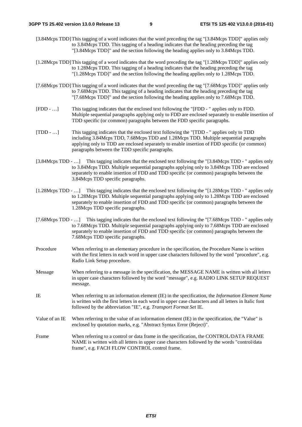- [3.84Mcps TDD] This tagging of a word indicates that the word preceding the tag "[3.84Mcps TDD]" applies only to 3.84Mcps TDD. This tagging of a heading indicates that the heading preceding the tag "[3.84Mcps TDD]" and the section following the heading applies only to 3.84Mcps TDD.
- [1.28Mcps TDD] This tagging of a word indicates that the word preceding the tag "[1.28Mcps TDD]" applies only to 1.28Mcps TDD. This tagging of a heading indicates that the heading preceding the tag "[1.28Mcps TDD]" and the section following the heading applies only to 1.28Mcps TDD.
- [7.68Mcps TDD] This tagging of a word indicates that the word preceding the tag "[7.68Mcps TDD]" applies only to 7.68Mcps TDD. This tagging of a heading indicates that the heading preceding the tag "[7.68Mcps TDD]" and the section following the heading applies only to 7.68Mcps TDD.
- [FDD …] This tagging indicates that the enclosed text following the "[FDD " applies only to FDD. Multiple sequential paragraphs applying only to FDD are enclosed separately to enable insertion of TDD specific (or common) paragraphs between the FDD specific paragraphs.
- [TDD …] This tagging indicates that the enclosed text following the "[TDD " applies only to TDD including 3.84Mcps TDD, 7.68Mcps TDD and 1.28Mcps TDD. Multiple sequential paragraphs applying only to TDD are enclosed separately to enable insertion of FDD specific (or common) paragraphs between the TDD specific paragraphs.
- [3.84Mcps TDD …] This tagging indicates that the enclosed text following the "[3.84Mcps TDD " applies only to 3.84Mcps TDD. Multiple sequential paragraphs applying only to 3.84Mcps TDD are enclosed separately to enable insertion of FDD and TDD specific (or common) paragraphs between the 3.84Mcps TDD specific paragraphs.
- [1.28Mcps TDD …] This tagging indicates that the enclosed text following the "[1.28Mcps TDD " applies only to 1.28Mcps TDD. Multiple sequential paragraphs applying only to 1.28Mcps TDD are enclosed separately to enable insertion of FDD and TDD specific (or common) paragraphs between the 1.28Mcps TDD specific paragraphs.
- [7.68Mcps TDD ...] This tagging indicates that the enclosed text following the "[7.68Mcps TDD " applies only to 7.68Mcps TDD. Multiple sequential paragraphs applying only to 7.68Mcps TDD are enclosed separately to enable insertion of FDD and TDD specific (or common) paragraphs between the 7.68Mcps TDD specific paragraphs.
- Procedure When referring to an elementary procedure in the specification, the Procedure Name is written with the first letters in each word in upper case characters followed by the word "procedure", e.g. Radio Link Setup procedure.
- Message When referring to a message in the specification, the MESSAGE NAME is written with all letters in upper case characters followed by the word "message", e.g. RADIO LINK SETUP REQUEST message.
- IE When referring to an information element (IE) in the specification, the *Information Element Name* is written with the first letters in each word in upper case characters and all letters in Italic font followed by the abbreviation "IE", e.g. *Transport Format Set* IE.
- Value of an IE When referring to the value of an information element (IE) in the specification, the "Value" is enclosed by quotation marks, e.g. "Abstract Syntax Error (Reject)".
- Frame When referring to a control or data frame in the specification, the CONTROL/DATA FRAME NAME is written with all letters in upper case characters followed by the words "control/data frame", e.g. FACH FLOW CONTROL control frame.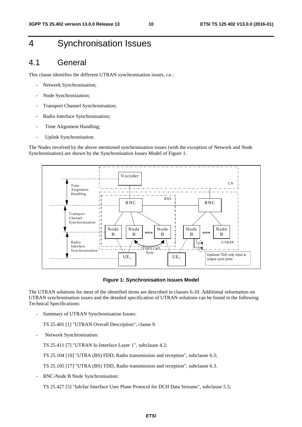## 4 Synchronisation Issues

## 4.1 General

This clause identifies the different UTRAN synchronisation issues, i.e.:

- Network Synchronisation;
- Node Synchronization;
- Transport Channel Synchronisation;
- Radio Interface Synchronisation;
- Time Alignment Handling;
- Uplink Synchronisation.

The Nodes involved by the above mentioned synchronisation issues (with the exception of Network and Node Synchronisation) are shown by the Synchronisation Issues Model of Figure 1.



**Figure 1: Synchronisation Issues Model** 

The UTRAN solutions for most of the identified items are described in clauses 6-10. Additional information on UTRAN synchronisation issues and the detailed specification of UTRAN solutions can be found in the following Technical Specifications:

Summary of UTRAN Synchronisation Issues:

TS 25.401 [1] "UTRAN Overall Description", clause 9.

Network Synchronisation:

TS 25.411 [7] "UTRAN Iu Interface Layer 1", subclause 4.2;

TS 25.104 [10] "UTRA (BS) FDD; Radio transmission and reception", subclause 6.3;

TS 25.105 [17] "UTRA (BS) TDD, Radio transmission and reception", subclause 6.3.

- RNC-Node B Node Synchronisation:

TS 25.427 [5] "Iub/Iur Interface User Plane Protocol for DCH Data Streams", subclause 5.5;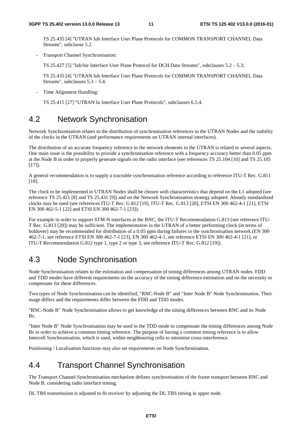TS 25.435 [4] "UTRAN Iub Interface User Plane Protocols for COMMON TRANSPORT CHANNEL Data Streams", subclause 5.2.

Transport Channel Synchronisation:

TS 25.427 [5] "Iub/Iur Interface User Plane Protocol for DCH Data Streams", subclauses 5.2 – 5.3;

TS 25.435 [4] "UTRAN Iub Interface User Plane Protocols for COMMON TRANSPORT CHANNEL Data Streams", subclauses 5.3 – 5.4.

Time Alignment Handling:

TS 25.415 [27] "UTRAN Iu Interface User Plane Protocols", subclauses 6.5.4.

## 4.2 Network Synchronisation

Network Synchronisation relates to the distribution of synchronisation references to the UTRAN Nodes and the stability of the clocks in the UTRAN (and performance requirements on UTRAN internal interfaces).

The distribution of an accurate frequency reference to the network elements in the UTRAN is related to several aspects. One main issue is the possibility to provide a synchronisation reference with a frequency accuracy better than 0.05 ppm at the Node B in order to properly generate signals on the radio interface (see references TS 25.104 [10] and TS 25.105  $[17]$ .

A general recommendation is to supply a traceable synchronisation reference according to reference ITU-T Rec. G.811 [18].

The clock to be implemented in UTRAN Nodes shall be chosen with characteristics that depend on the L1 adopted (see reference TS 25.421 [8] and TS 25.431 [9]) and on the Network Synchronisation strategy adopted. Already standardized clocks may be used (see references ITU-T Rec. G.812 [19], ITU-T Rec. G.813 [20], ETSI EN 300 462-4-1 [21], ETSI EN 300 462-5-1 [22] and ETSI EN 300 462-7-1 [23]).

For example in order to support STM-N interfaces at the RNC, the ITU-T Recommendation G.813 (see reference ITU-T Rec. G.813 [20]) may be sufficient. The implementation in the UTRAN of a better performing clock (in terms of holdover) may be recommended for distribution of a 0.05 ppm during failures in the synchronisation network (EN 300 462-7-1, see reference ETSI EN 300 462-7-1 [23], EN 300 462-4-1, see reference ETSI EN 300 462-4-1 [21], or ITU-T Recommendation G.812 type 1, type 2 or type 3, see reference ITU-T Rec. G.812 [19]).

## 4.3 Node Synchronisation

Node Synchronisation relates to the estimation and compensation of timing differences among UTRAN nodes. FDD and TDD modes have different requirements on the accuracy of the timing difference estimation and on the necessity to compensate for these differences.

Two types of Node Synchronisation can be identified, "RNC-Node B" and "Inter Node B" Node Synchronisation. Their usage differs and the requirements differ between the FDD and TDD modes.

"RNC-Node B" Node Synchronisation allows to get knowledge of the timing differences between RNC and its Node Bs.

"Inter Node B" Node Synchronisation may be used in the TDD mode to compensate the timing differences among Node Bs in order to achieve a common timing reference. The purpose of having a common timing reference is to allow Intercell Synchronisation, which is used, within neighbouring cells to minimise cross-interference.

Positioning / Localisation functions may also set requirements on Node Synchronisation.

## 4.4 Transport Channel Synchronisation

The Transport Channel Synchronisation mechanism defines synchronisation of the frame transport between RNC and Node B, considering radio interface timing.

DL TBS transmission is adjusted to fit receiver by adjusting the DL TBS timing in upper node.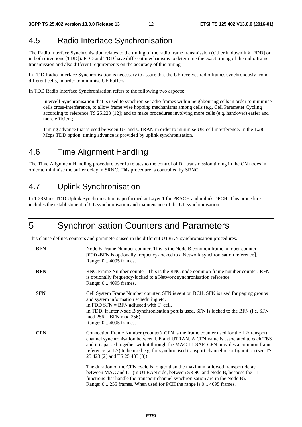## 4.5 Radio Interface Synchronisation

The Radio Interface Synchronisation relates to the timing of the radio frame transmission (either in downlink [FDD] or in both directions [TDD]). FDD and TDD have different mechanisms to determine the exact timing of the radio frame transmission and also different requirements on the accuracy of this timing.

In FDD Radio Interface Synchronisation is necessary to assure that the UE receives radio frames synchronously from different cells, in order to minimise UE buffers.

In TDD Radio Interface Synchronisation refers to the following two aspects:

- Intercell Synchronisation that is used to synchronise radio frames within neighbouring cells in order to minimise cells cross-interference, to allow frame wise hopping mechanisms among cells (e.g. Cell Parameter Cycling according to reference TS 25.223 [12]) and to make procedures involving more cells (e.g. handover) easier and more efficient;
- Timing advance that is used between UE and UTRAN in order to minimise UE-cell interference. In the 1.28 Mcps TDD option, timing advance is provided by uplink synchronisation.

## 4.6 Time Alignment Handling

The Time Alignment Handling procedure over Iu relates to the control of DL transmission timing in the CN nodes in order to minimise the buffer delay in SRNC. This procedure is controlled by SRNC.

## 4.7 Uplink Synchronisation

In 1.28Mpcs TDD Uplink Synchronisation is performed at Layer 1 for PRACH and uplink DPCH. This procedure includes the establishment of UL synchronisation and maintenance of the UL synchronisation.

## 5 Synchronisation Counters and Parameters

This clause defines counters and parameters used in the different UTRAN synchronisation procedures.

| <b>BFN</b> | Node B Frame Number counter. This is the Node B common frame number counter.<br>[FDD-BFN is optionally frequency-locked to a Network synchronisation reference].<br>Range: 04095 frames.                                                                                                                                                                                                                |
|------------|---------------------------------------------------------------------------------------------------------------------------------------------------------------------------------------------------------------------------------------------------------------------------------------------------------------------------------------------------------------------------------------------------------|
| <b>RFN</b> | RNC Frame Number counter. This is the RNC node common frame number counter. RFN<br>is optionally frequency-locked to a Network synchronisation reference.<br>Range: 0  4095 frames.                                                                                                                                                                                                                     |
| <b>SFN</b> | Cell System Frame Number counter. SFN is sent on BCH. SFN is used for paging groups<br>and system information scheduling etc.<br>In FDD SFN = BFN adjusted with $T_{cell}$ .<br>In TDD, if Inter Node B synchronisation port is used, SFN is locked to the BFN (i.e. SFN<br>$mod 256 = BFN mod 256$ .<br>Range: 0  4095 frames.                                                                         |
| <b>CFN</b> | Connection Frame Number (counter). CFN is the frame counter used for the L2/transport<br>channel synchronisation between UE and UTRAN. A CFN value is associated to each TBS<br>and it is passed together with it through the MAC-L1 SAP. CFN provides a common frame<br>reference (at L2) to be used e.g. for synchronised transport channel reconfiguration (see TS<br>25.423 [2] and TS 25.433 [3]). |
|            | The duration of the CFN cycle is longer than the maximum allowed transport delay<br>between MAC and L1 (in UTRAN side, between SRNC and Node B, because the L1<br>functions that handle the transport channel synchronisation are in the Node B).<br>Range: 0255 frames. When used for PCH the range is 04095 frames.                                                                                   |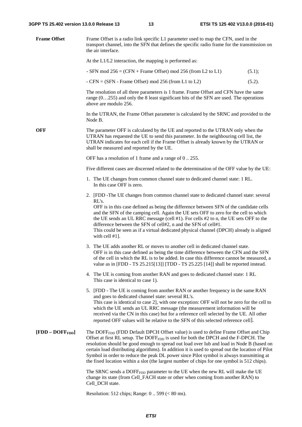| <b>Frame Offset</b> | Frame Offset is a radio link specific L1 parameter used to map the CFN, used in the<br>transport channel, into the SFN that defines the specific radio frame for the transmission on<br>the air interface.                                                                                                                                                                                                                                                                                                                                                                                      |        |  |  |
|---------------------|-------------------------------------------------------------------------------------------------------------------------------------------------------------------------------------------------------------------------------------------------------------------------------------------------------------------------------------------------------------------------------------------------------------------------------------------------------------------------------------------------------------------------------------------------------------------------------------------------|--------|--|--|
|                     | At the L1/L2 interaction, the mapping is performed as:                                                                                                                                                                                                                                                                                                                                                                                                                                                                                                                                          |        |  |  |
|                     | - SFN mod $256 = (CFN + Frame$ Offset) mod 256 (from L2 to L1)                                                                                                                                                                                                                                                                                                                                                                                                                                                                                                                                  | (5.1); |  |  |
|                     | - $CFN = (SFN - Frame Offset) \text{ mod } 256 \text{ (from L1 to L2)}$                                                                                                                                                                                                                                                                                                                                                                                                                                                                                                                         | (5.2). |  |  |
|                     | The resolution of all three parameters is 1 frame. Frame Offset and CFN have the same<br>range $(0255)$ and only the 8 least significant bits of the SFN are used. The operations<br>above are modulo 256.                                                                                                                                                                                                                                                                                                                                                                                      |        |  |  |
|                     | In the UTRAN, the Frame Offset parameter is calculated by the SRNC and provided to the<br>Node B.                                                                                                                                                                                                                                                                                                                                                                                                                                                                                               |        |  |  |
| <b>OFF</b>          | The parameter OFF is calculated by the UE and reported to the UTRAN only when the<br>UTRAN has requested the UE to send this parameter. In the neighbouring cell list, the<br>UTRAN indicates for each cell if the Frame Offset is already known by the UTRAN or<br>shall be measured and reported by the UE.                                                                                                                                                                                                                                                                                   |        |  |  |
|                     | OFF has a resolution of 1 frame and a range of 0255.                                                                                                                                                                                                                                                                                                                                                                                                                                                                                                                                            |        |  |  |
|                     | Five different cases are discerned related to the determination of the OFF value by the UE:                                                                                                                                                                                                                                                                                                                                                                                                                                                                                                     |        |  |  |
|                     | 1. The UE changes from common channel state to dedicated channel state: 1 RL.<br>In this case OFF is zero.                                                                                                                                                                                                                                                                                                                                                                                                                                                                                      |        |  |  |
|                     | 2. [FDD-The UE changes from common channel state to dedicated channel state: several<br>RL's.<br>OFF is in this case defined as being the difference between SFN of the candidate cells<br>and the SFN of the camping cell. Again the UE sets OFF to zero for the cell to which<br>the UE sends an UL RRC message (cell #1). For cells #2 to n, the UE sets OFF to the<br>difference between the SFN of cell#2, n and the SFN of cell#1.<br>This could be seen as if a virtual dedicated physical channel (DPCH) already is aligned<br>with cell #1].                                           |        |  |  |
|                     | 3. The UE adds another RL or moves to another cell in dedicated channel state.<br>OFF is in this case defined as being the time difference between the CFN and the SFN<br>of the cell in which the RL is to be added. In case this difference cannot be measured, a<br>value as in [FDD - TS 25.215[13]] [TDD - TS 25.225 [14]] shall be reported instead.                                                                                                                                                                                                                                      |        |  |  |
|                     | 4. The UE is coming from another RAN and goes to dedicated channel state: 1 RL.<br>This case is identical to case 1).                                                                                                                                                                                                                                                                                                                                                                                                                                                                           |        |  |  |
|                     | 5. [FDD - The UE is coming from another RAN or another frequency in the same RAN<br>and goes to dedicated channel state: several RL's.<br>This case is identical to case 2], with one exception: OFF will not be zero for the cell to<br>which the UE sends an UL RRC message (the measurement information will be<br>received via the CN in this case) but for a reference cell selected by the UE. All other<br>reported OFF values will be relative to the SFN of this selected reference cell].                                                                                             |        |  |  |
| $[FDD - DOFFFDD]$   | The DOFF <sub>FDD</sub> (FDD Default DPCH Offset value) is used to define Frame Offset and Chip<br>Offset at first RL setup. The DOFF <sub>FDD</sub> is used for both the DPCH and the F-DPCH. The<br>resolution should be good enough to spread out load over Iub and load in Node B (based on<br>certain load distributing algorithms). In addition it is used to spread out the location of Pilot<br>Symbol in order to reduce the peak DL power since Pilot symbol is always transmitting at<br>the fixed location within a slot (the largest number of chips for one symbol is 512 chips). |        |  |  |
|                     | The SRNC sends a DOFF <sub>FDD</sub> parameter to the UE when the new RL will make the UE<br>change its state (from Cell_FACH state or other when coming from another RAN) to<br>Cell_DCH state.                                                                                                                                                                                                                                                                                                                                                                                                |        |  |  |

Resolution: 512 chips; Range: 0 .. 599 (< 80 ms).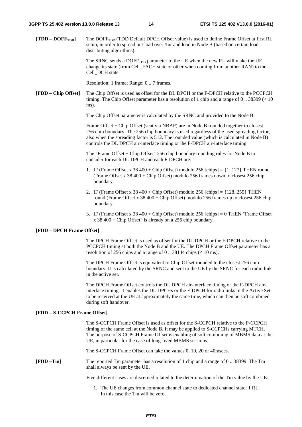**[TDD – DOFFTDD]** The DOFFTDD (TDD Default DPCH Offset value) is used to define Frame Offset at first RL setup, in order to spread out load over /Iur and load in Node B (based on certain load distributing algorithms).

> The SRNC sends a DOFF<sub>TDD</sub> parameter to the UE when the new RL will make the UE change its state (from Cell\_FACH state or other when coming from another RAN) to the Cell DCH state.

Resolution: 1 frame; Range: 0 .. 7 frames.

**[FDD – Chip Offset]** The Chip Offset is used as offset for the DL DPCH or the F-DPCH relative to the PCCPCH timing. The Chip Offset parameter has a resolution of 1 chip and a range of 0 .. 38399 (< 10 ms).

The Chip Offset parameter is calculated by the SRNC and provided to the Node B.

Frame Offset + Chip Offset (sent via NBAP) are in Node B rounded together to closest 256 chip boundary. The 256 chip boundary is used regardless of the used spreading factor, also when the spreading factor is 512. The rounded value (which is calculated in Node B) controls the DL DPCH air-interface timing or the F-DPCH air-interface timing.

The "Frame Offset + Chip Offset" 256 chip boundary rounding rules for Node B to consider for each DL DPCH and each F-DPCH are:

- 1. IF (Frame Offset x 38 400 + Chip Offset) modulo 256 [chips] =  $\{1..127\}$  THEN round (Frame Offset x 38 400 + Chip Offset) modulo 256 frames down to closest 256 chip boundary.
- 2. IF (Frame Offset x  $38\,400 +$ Chip Offset) modulo  $256$  [chips] = {128..255} THEN round (Frame Offset x 38 400 + Chip Offset) modulo 256 frames up to closest 256 chip boundary.
- 3. IF (Frame Offset x 38 400 + Chip Offset) modulo 256 [chips] = 0 THEN "Frame Offset x 38 400 + Chip Offset" is already on a 256 chip boundary.

#### **[FDD – DPCH Frame Offset]**

The DPCH Frame Offset is used as offset for the DL DPCH or the F-DPCH relative to the PCCPCH timing at both the Node B and the UE. The DPCH Frame Offset parameter has a resolution of 256 chips and a range of 0 .. 38144 chips (< 10 ms).

The DPCH Frame Offset is equivalent to Chip Offset rounded to the closest 256 chip boundary. It is calculated by the SRNC and sent to the UE by the SRNC for each radio link in the active set.

The DPCH Frame Offset controls the DL DPCH air-interface timing or the F-DPCH airinterface timing. It enables the DL DPCHs or the F-DPCH for radio links in the Active Set to be received at the UE at approximately the same time, which can then be soft combined during soft handover.

#### **[FDD – S-CCPCH Frame Offset]**

The S-CCPCH Frame Offset is used as offset for the S-CCPCH relative to the P-CCPCH timing of the same cell at the Node B. It may be applied to S-CCPCHs carrying MTCH. The purpose of S-CCPCH Frame Offset is enabling of soft combining of MBMS data at the UE, in particular for the case of long-lived MBMS sessions.

The S-CCPCH Frame Offset can take the values 0, 10, 20 or 40msecs.

**[FDD –Tm]** The reported Tm parameter has a resolution of 1 chip and a range of 0 .. 38399. The Tm shall always be sent by the UE.

Five different cases are discerned related to the determination of the Tm value by the UE:

1. The UE changes from common channel state to dedicated channel state: 1 RL. In this case the Tm will be zero.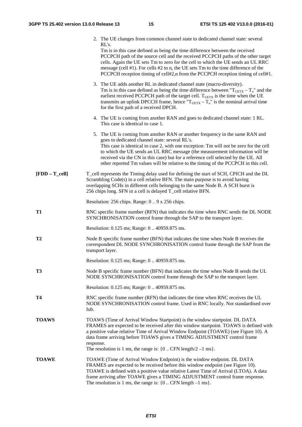|                    | 2. The UE changes from common channel state to dedicated channel state: several<br>RL's.<br>Tm is in this case defined as being the time difference between the received<br>PCCPCH path of the source cell and the received PCCPCH paths of the other target<br>cells. Again the UE sets Tm to zero for the cell to which the UE sends an UL RRC<br>message (cell $#1$ ). For cells $#2$ to n, the UE sets Tm to the time difference of the                                                    |  |  |  |
|--------------------|------------------------------------------------------------------------------------------------------------------------------------------------------------------------------------------------------------------------------------------------------------------------------------------------------------------------------------------------------------------------------------------------------------------------------------------------------------------------------------------------|--|--|--|
|                    | PCCPCH reception timing of cell#2,n from the PCCPCH reception timing of cell#1.<br>3. The UE adds another RL in dedicated channel state (macro-diversity).<br>Tm is in this case defined as being the time difference between " $T_{UETX} - T_o$ " and the<br>earliest received PCCPCH path of the target cell. $T_{\text{UETX}}$ is the time when the UE<br>transmits an uplink DPCCH frame, hence " $T_{UETX} - T_0$ " is the nominal arrival time<br>for the first path of a received DPCH. |  |  |  |
|                    | 4. The UE is coming from another RAN and goes to dedicated channel state: 1 RL.<br>This case is identical to case 1.                                                                                                                                                                                                                                                                                                                                                                           |  |  |  |
|                    | 5. The UE is coming from another RAN or another frequency in the same RAN and<br>goes to dedicated channel state: several RL's.<br>This case is identical to case 2, with one exception: Tm will not be zero for the cell<br>to which the UE sends an UL RRC message (the measurement information will be<br>received via the CN in this case) but for a reference cell selected by the UE. All<br>other reported Tm values will be relative to the timing of the PCCPCH in this cell.         |  |  |  |
| $[FDD - T_{cell}]$ | T_cell represents the Timing delay used for defining the start of SCH, CPICH and the DL<br>Scrambling Code(s) in a cell relative BFN. The main purpose is to avoid having<br>overlapping SCHs in different cells belonging to the same Node B. A SCH burst is<br>256 chips long. SFN in a cell is delayed T_cell relative BFN.                                                                                                                                                                 |  |  |  |
|                    | Resolution: 256 chips. Range: 09 x 256 chips.                                                                                                                                                                                                                                                                                                                                                                                                                                                  |  |  |  |
| T1                 | RNC specific frame number (RFN) that indicates the time when RNC sends the DL NODE<br>SYNCHRONISATION control frame through the SAP to the transport layer.                                                                                                                                                                                                                                                                                                                                    |  |  |  |
|                    | Resolution: 0.125 ms; Range: 0 40959.875 ms.                                                                                                                                                                                                                                                                                                                                                                                                                                                   |  |  |  |
| T2                 | Node B specific frame number (BFN) that indicates the time when Node B receives the<br>correspondent DL NODE SYNCHRONISATION control frame through the SAP from the<br>transport layer.                                                                                                                                                                                                                                                                                                        |  |  |  |
|                    | Resolution: 0.125 ms; Range: 0 40959.875 ms.                                                                                                                                                                                                                                                                                                                                                                                                                                                   |  |  |  |
| T <sub>3</sub>     | Node B specific frame number (BFN) that indicates the time when Node B sends the UL<br>NODE SYNCHRONISATION control frame through the SAP to the transport layer.                                                                                                                                                                                                                                                                                                                              |  |  |  |
|                    | Resolution: 0.125 ms; Range: 0 40959.875 ms.                                                                                                                                                                                                                                                                                                                                                                                                                                                   |  |  |  |
| <b>T4</b>          | RNC specific frame number (RFN) that indicates the time when RNC receives the UL<br>NODE SYNCHRONISATION control frame. Used in RNC locally. Not standardised over<br>Iub.                                                                                                                                                                                                                                                                                                                     |  |  |  |
| <b>TOAWS</b>       | TOAWS (Time of Arrival Window Startpoint) is the window startpoint. DL DATA<br>FRAMES are expected to be received after this window startpoint. TOAWS is defined with<br>a positive value relative Time of Arrival Window Endpoint (TOAWE) (see Figure 10). A<br>data frame arriving before TOAWS gives a TIMING ADJUSTMENT control frame<br>response.<br>The resolution is 1 ms, the range is: $\{0$ CFN length/2 -1 ms $\}$ .                                                                |  |  |  |
| <b>TOAWE</b>       | TOAWE (Time of Arrival Window Endpoint) is the window endpoint. DL DATA<br>FRAMES are expected to be received before this window endpoint (see Figure 10).<br>TOAWE is defined with a positive value relative Latest Time of Arrival (LTOA). A data<br>frame arriving after TOAWE gives a TIMING ADJUSTMENT control frame response.<br>The resolution is 1 ms, the range is: $\{0$ CFN length $-1$ ms $\}$ .                                                                                   |  |  |  |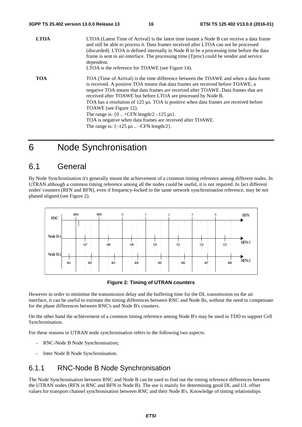| <b>LTOA</b> | LTOA (Latest Time of Arrival) is the latest time instant a Node B can receive a data frame<br>and still be able to process it. Data frames received after LTOA can not be processed<br>(discarded). LTOA is defined internally in Node B to be a processing time before the data<br>frame is sent in air-interface. The processing time (Tproc) could be vendor and service<br>dependent.<br>LTOA is the reference for TOAWE (see Figure 14).                                                                                                                                                                                      |
|-------------|------------------------------------------------------------------------------------------------------------------------------------------------------------------------------------------------------------------------------------------------------------------------------------------------------------------------------------------------------------------------------------------------------------------------------------------------------------------------------------------------------------------------------------------------------------------------------------------------------------------------------------|
| <b>TOA</b>  | TOA (Time of Arrival) is the time difference between the TOAWE and when a data frame<br>is received. A positive TOA means that data frames are received before TOAWE, a<br>negative TOA means that data frames are received after TOAWE. Data frames that are<br>received after TOAWE but before LTOA are processed by Node B.<br>TOA has a resolution of 125 µs. TOA is positive when data frames are received before<br>TOAWE (see Figure 12).<br>The range is: $\{0+CFN \text{ length}/2 -125 \mu s\}.$<br>TOA is negative when data frames are received after TOAWE.<br>The range is: $\{-125 \mu s \dots -CFN \ length/2\}$ . |

## 6 Node Synchronisation

## 6.1 General

By Node Synchronisation it's generally meant the achievement of a common timing reference among different nodes. In UTRAN although a common timing reference among all the nodes could be useful, it is not required. In fact different nodes' counters (RFN and BFN), even if frequency-locked to the same network synchronisation reference, may be not phased aligned (see Figure 2).



#### **Figure 2: Timing of UTRAN counters**

However in order to minimise the transmission delay and the buffering time for the DL transmission on the air interface, it can be useful to estimate the timing differences between RNC and Node Bs, without the need to compensate for the phase differences between RNC's and Node B's counters.

On the other hand the achievement of a common timing reference among Node B's may be used in TDD to support Cell Synchronisation.

For these reasons in UTRAN node synchronisation refers to the following two aspects:

- RNC-Node B Node Synchronisation;
- Inter Node B Node Synchronisation.

## 6.1.1 RNC-Node B Node Synchronisation

The Node Synchronisation between RNC and Node B can be used to find out the timing reference differences between the UTRAN nodes (RFN in RNC and BFN in Node B). The use is mainly for determining good DL and UL offset values for transport channel synchronisation between RNC and their Node B's. Knowledge of timing relationships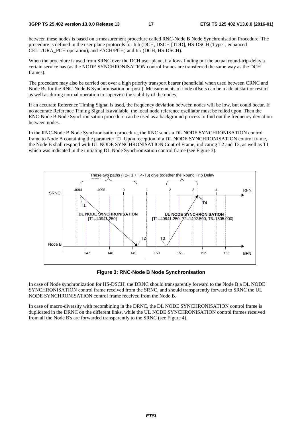between these nodes is based on a measurement procedure called RNC-Node B Node Synchronisation Procedure. The procedure is defined in the user plane protocols for Iub (DCH, DSCH [TDD], HS-DSCH (Type1, enhanced CELL/URA\_PCH operation), and FACH/PCH) and Iur (DCH, HS-DSCH).

When the procedure is used from SRNC over the DCH user plane, it allows finding out the actual round-trip-delay a certain service has (as the NODE SYNCHRONISATION control frames are transferred the same way as the DCH frames).

The procedure may also be carried out over a high priority transport bearer (beneficial when used between CRNC and Node Bs for the RNC-Node B Synchronisation purpose). Measurements of node offsets can be made at start or restart as well as during normal operation to supervise the stability of the nodes.

If an accurate Reference Timing Signal is used, the frequency deviation between nodes will be low, but could occur. If no accurate Reference Timing Signal is available, the local node reference oscillator must be relied upon. Then the RNC-Node B Node Synchronisation procedure can be used as a background process to find out the frequency deviation between nodes.

In the RNC-Node B Node Synchronisation procedure, the RNC sends a DL NODE SYNCHRONISATION control frame to Node B containing the parameter T1. Upon reception of a DL NODE SYNCHRONISATION control frame, the Node B shall respond with UL NODE SYNCHRONISATION Control Frame, indicating T2 and T3, as well as T1 which was indicated in the initiating DL Node Synchronisation control frame (see Figure 3).



#### **Figure 3: RNC-Node B Node Synchronisation**

In case of Node synchronization for HS-DSCH, the DRNC should transparently forward to the Node B a DL NODE SYNCHRONISATION control frame received from the SRNC, and should transparently forward to SRNC the UL NODE SYNCHRONISATION control frame received from the Node B.

In case of macro-diversity with recombining in the DRNC, the DL NODE SYNCHRONISATION control frame is duplicated in the DRNC on the different links, while the UL NODE SYNCHRONISATION control frames received from all the Node B's are forwarded transparently to the SRNC (see Figure 4).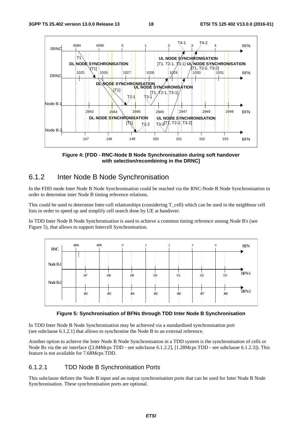

**Figure 4: [FDD - RNC-Node B Node Synchronisation during soft handover with selection/recombining in the DRNC]** 

## 6.1.2 Inter Node B Node Synchronisation

In the FDD mode Inter Node B Node Synchronisation could be reached via the RNC-Node B Node Synchronisation in order to determine inter Node B timing reference relations.

This could be used to determine Inter-cell relationships (considering T\_cell) which can be used in the neighbour cell lists in order to speed up and simplify cell search done by UE at handover.

In TDD Inter Node B Node Synchronisation is used to achieve a common timing reference among Node B's (see Figure 5), that allows to support Intercell Synchronisation.



**Figure 5: Synchronisation of BFNs through TDD Inter Node B Synchronisation** 

In TDD Inter Node B Node Synchronisation may be achieved via a standardised synchronisation port (see subclause 6.1.2.1) that allows to synchronise the Node B to an external reference.

Another option to achieve the Inter Node B Node Synchronisation in a TDD system is the synchronisation of cells or Node Bs via the air interface ([3.84Mcps TDD - see subclause 6.1.2.2], [1.28Mcps TDD - see subclause 6.1.2.3]). This feature is not available for 7.68Mcps TDD.

### 6.1.2.1 TDD Node B Synchronisation Ports

This subclause defines the Node B input and an output synchronisation ports that can be used for Inter Node B Node Synchronisation. These synchronisation ports are optional.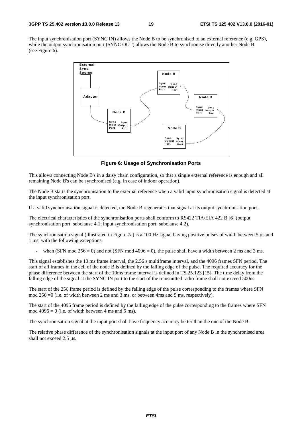The input synchronisation port (SYNC IN) allows the Node B to be synchronised to an external reference (e.g. GPS), while the output synchronisation port (SYNC OUT) allows the Node B to synchronise directly another Node B (see Figure 6).



**Figure 6: Usage of Synchronisation Ports** 

This allows connecting Node B's in a daisy chain configuration, so that a single external reference is enough and all remaining Node B's can be synchronised (e.g. in case of indoor operation).

The Node B starts the synchronisation to the external reference when a valid input synchronisation signal is detected at the input synchronisation port.

If a valid synchronisation signal is detected, the Node B regenerates that signal at its output synchronisation port.

The electrical characteristics of the synchronisation ports shall conform to RS422 TIA/EIA 422 B [6] (output synchronisation port: subclause 4.1; input synchronisation port: subclause 4.2).

The synchronisation signal (illustrated in Figure 7a) is a 100 Hz signal having positive pulses of width between 5 μs and 1 ms, with the following exceptions:

when (SFN mod 256 = 0) and not (SFN mod 4096 = 0), the pulse shall have a width between 2 ms and 3 ms.

This signal establishes the 10 ms frame interval, the 2.56 s multiframe interval, and the 4096 frames SFN period. The start of all frames in the cell of the node B is defined by the falling edge of the pulse. The required accuracy for the phase difference between the start of the 10ms frame interval is defined in TS 25.123 [15]. The time delay from the falling edge of the signal at the SYNC IN port to the start of the transmitted radio frame shall not exceed 500ns.

The start of the 256 frame period is defined by the falling edge of the pulse corresponding to the frames where SFN mod 256 =0 (i.e. of width between 2 ms and 3 ms, or between 4ms and 5 ms, respectively).

The start of the 4096 frame period is defined by the falling edge of the pulse corresponding to the frames where SFN mod  $4096 = 0$  (i.e. of width between 4 ms and 5 ms).

The synchronisation signal at the input port shall have frequency accuracy better than the one of the Node B.

The relative phase difference of the synchronisation signals at the input port of any Node B in the synchronised area shall not exceed 2.5 μs.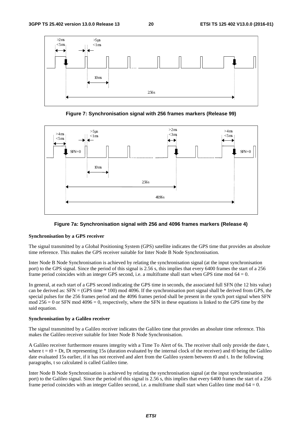

**Figure 7: Synchronisation signal with 256 frames markers (Release 99)** 





#### **Synchronisation by a GPS receiver**

The signal transmitted by a Global Positioning System (GPS) satellite indicates the GPS time that provides an absolute time reference. This makes the GPS receiver suitable for Inter Node B Node Synchronisation.

Inter Node B Node Synchronisation is achieved by relating the synchronisation signal (at the input synchronisation port) to the GPS signal. Since the period of this signal is 2.56 s, this implies that every 6400 frames the start of a 256 frame period coincides with an integer GPS second, i.e. a multiframe shall start when GPS time mod  $64 = 0$ .

In general, at each start of a GPS second indicating the GPS time in seconds, the associated full SFN (the 12 bits value) can be derived as:  $SFN = (GPS time * 100) \text{ mod } 4096$ . If the synchronisation port signal shall be derived from GPS, the special pulses for the 256 frames period and the 4096 frames period shall be present in the synch port signal when SFN mod  $256 = 0$  or SFN mod  $4096 = 0$ , respectively, where the SFN in these equations is linked to the GPS time by the said equation.

#### **Synchronisation by a Galileo receiver**

The signal transmitted by a Galileo receiver indicates the Galileo time that provides an absolute time reference. This makes the Galileo receiver suitable for Inter Node B Node Synchronisation.

A Galileo receiver furthermore ensures integrity with a Time To Alert of 6s. The receiver shall only provide the date t, where  $t = t0 + Dt$ , Dt representing 15s (duration evaluated by the internal clock of the receiver) and t0 being the Galileo date evaluated 15s earlier, if it has not received and alert from the Galileo system between t0 and t. In the following paragraphs, t so calculated is called Galileo time.

Inter Node B Node Synchronisation is achieved by relating the synchronisation signal (at the input synchronisation port) to the Galileo signal. Since the period of this signal is 2.56 s, this implies that every 6400 frames the start of a 256 frame period coincides with an integer Galileo second, i.e. a multiframe shall start when Galileo time mod  $64 = 0$ .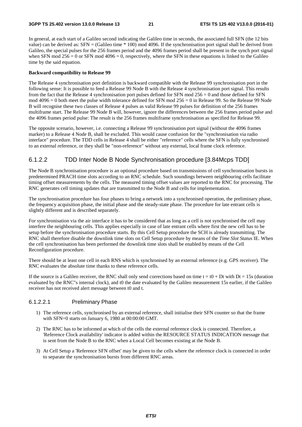In general, at each start of a Galileo second indicating the Galileo time in seconds, the associated full SFN (the 12 bits value) can be derived as: SFN = (Galileo time \* 100) mod 4096. If the synchronisation port signal shall be derived from Galileo, the special pulses for the 256 frames period and the 4096 frames period shall be present in the synch port signal when SFN mod  $256 = 0$  or SFN mod  $4096 = 0$ , respectively, where the SFN in these equations is linked to the Galileo time by the said equation.

#### **Backward compatibility to Release 99**

The Release 4 synchronisation port definition is backward compatible with the Release 99 synchronisation port in the following sense: It is possible to feed a Release 99 Node B with the Release 4 synchronisation port signal. This results from the fact that the Release 4 synchronisation port pulses defined for SFN mod 256 = 0 and those defined for SFN mod 4096 = 0 both meet the pulse width tolerance defined for SFN mod 256 = 0 in Release 99. So the Release 99 Node B will recognise these two classes of Release 4 pulses as valid Release 99 pulses for definition of the 256 frames multiframe start. The Release 99 Node B will, however, ignore the differences between the 256 frames period pulse and the 4096 frames period pulse: The result is the 256 frames multiframe synchronisation as specified for Release 99.

The opposite scenario, however, i.e. connecting a Release 99 synchronisation port signal (without the 4096 frames marker) to a Release 4 Node B, shall be excluded. This would cause confusion for the "synchronisation via radio interface" procedure. The TDD cells in Release 4 shall be either "reference" cells where the SFN is fully synchronised to an external reference, or they shall be "non-reference" without any external, local frame clock reference.

### 6.1.2.2 TDD Inter Node B Node Synchronisation procedure [3.84Mcps TDD]

The Node B synchronisation procedure is an optional procedure based on transmissions of cell synchronisation bursts in predetermined PRACH time slots according to an RNC schedule. Such soundings between neighbouring cells facilitate timing offset measurements by the cells. The measured timing offset values are reported to the RNC for processing. The RNC generates cell timing updates that are transmitted to the Node B and cells for implementation.

The synchronisation procedure has four phases to bring a network into a synchronised operation, the preliminary phase, the frequency acquisition phase, the initial phase and the steady-state phase. The procedure for late entrant cells is slightly different and is described separately.

For synchronisation via the air interface it has to be considered that as long as a cell is not synchronised the cell may interfere the neighbouring cells. This applies especially in case of late entrant cells where first the new cell has to be setup before the synchronisation procedure starts. By this Cell Setup procedure the SCH is already transmitting. The RNC shall therefore disable the downlink time slots on Cell Setup procedure by means of the *Time Slot Status* IE. When the cell synchronisation has been performed the downlink time slots shall be enabled by means of the Cell Reconfiguration procedure.

There should be at least one cell in each RNS which is synchronised by an external reference (e.g. GPS receiver). The RNC evaluates the absolute time thanks to these reference cells.

If the source is a Galileo receiver, the RNC shall only send corrections based on time  $t = t0 + Dt$  with  $Dt = 15s$  (duration evaluated by the RNC"s internal clock), and t0 the date evaluated by the Galileo measurement 15s earlier, if the Galileo receiver has not received alert message between t0 and t.

#### 6.1.2.2.1 Preliminary Phase

- 1) The reference cells, synchronised by an external reference, shall initialise their SFN counter so that the frame with SFN=0 starts on January 6, 1980 at 00:00:00 GMT.
- 2) The RNC has to be informed at which of the cells the external reference clock is connected. Therefore, a 'Reference Clock availability' indicator is added within the RESOURCE STATUS INDICATION message that is sent from the Node B to the RNC when a Local Cell becomes existing at the Node B.
- 3) At Cell Setup a 'Reference SFN offset' may be given to the cells where the reference clock is connected in order to separate the synchronisation bursts from different RNC areas.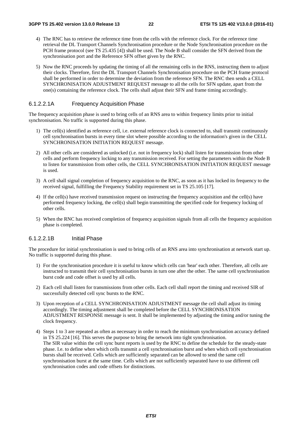- 4) The RNC has to retrieve the reference time from the cells with the reference clock. For the reference time retrieval the DL Transport Channels Synchronisation procedure or the Node Synchronisation procedure on the PCH frame protocol (see TS 25.435 [4]) shall be used. The Node B shall consider the SFN derived from the synchronisation port and the Reference SFN offset given by the RNC.
- 5) Now the RNC proceeds by updating the timing of all the remaining cells in the RNS, instructing them to adjust their clocks. Therefore, first the DL Transport Channels Synchronisation procedure on the PCH frame protocol shall be performed in order to determine the deviation from the reference SFN. The RNC then sends a CELL SYNCHRONISATION ADJUSTMENT REQUEST message to all the cells for SFN update, apart from the one(s) containing the reference clock. The cells shall adjust their SFN and frame timing accordingly.

#### 6.1.2.2.1A Frequency Acquisition Phase

The frequency acquisition phase is used to bring cells of an RNS area to within frequency limits prior to initial synchronisation. No traffic is supported during this phase.

- 1) The cell(s) identified as reference cell, i.e. external reference clock is connected to, shall transmit continuously cell synchronisation bursts in every time slot where possible according to the information's given in the CELL SYNCHRONISATION INITIATION REQUEST message.
- 2) All other cells are considered as unlocked (i.e. not in frequency lock) shall listen for transmission from other cells and perform frequency locking to any transmission received. For setting the parameters within the Node B to listen for transmission from other cells, the CELL SYNCHRONISATION INITIATION REQUEST message is used.
- 3) A cell shall signal completion of frequency acquisition to the RNC, as soon as it has locked its frequency to the received signal, fulfilling the Frequency Stability requirement set in TS 25.105 [17].
- 4) If the cell(s) have received transmission request on instructing the frequency acquisition and the cell(s) have performed frequency locking, the cell(s) shall begin transmitting the specified code for frequency locking of other cells.
- 5) When the RNC has received completion of frequency acquisition signals from all cells the frequency acquisition phase is completed.

#### 6.1.2.2.1B Initial Phase

The procedure for initial synchronisation is used to bring cells of an RNS area into synchronisation at network start up. No traffic is supported during this phase.

- 1) For the synchronisation procedure it is useful to know which cells can 'hear' each other. Therefore, all cells are instructed to transmit their cell synchronisation bursts in turn one after the other. The same cell synchronisation burst code and code offset is used by all cells.
- 2) Each cell shall listen for transmissions from other cells. Each cell shall report the timing and received SIR of successfully detected cell sync bursts to the RNC.
- 3) Upon reception of a CELL SYNCHRONISATION ADJUSTMENT message the cell shall adjust its timing accordingly. The timing adjustment shall be completed before the CELL SYNCHRONISATION ADJUSTMENT RESPONSE message is sent. It shall be implemented by adjusting the timing and/or tuning the clock frequency.
- 4) Steps 1 to 3 are repeated as often as necessary in order to reach the minimum synchronisation accuracy defined in TS 25.224 [16]. This serves the purpose to bring the network into tight synchronisation. The SIR value within the cell sync burst reports is used by the RNC to define the schedule for the steady-state phase. I.e. to define when which cells transmit a cell synchronisation burst and when which cell synchronisation bursts shall be received. Cells which are sufficiently separated can be allowed to send the same cell synchronisation burst at the same time. Cells which are not sufficiently separated have to use different cell synchronisation codes and code offsets for distinctions.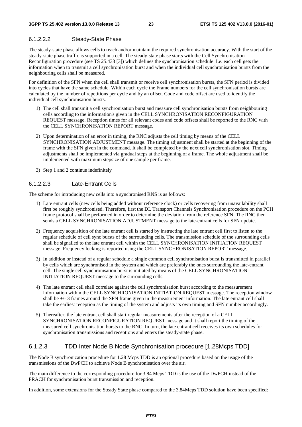### 6.1.2.2.2 Steady-State Phase

The steady-state phase allows cells to reach and/or maintain the required synchronisation accuracy. With the start of the steady-state phase traffic is supported in a cell. The steady-state phase starts with the Cell Synchronisation Reconfiguration procedure (see TS 25.433 [3]) which defines the synchronisation schedule. I.e. each cell gets the information when to transmit a cell synchronisation burst and when the individual cell synchronisation bursts from the neighbouring cells shall be measured.

For definition of the SFN when the cell shall transmit or receive cell synchronisation bursts, the SFN period is divided into cycles that have the same schedule. Within each cycle the Frame numbers for the cell synchronisation bursts are calculated by the number of repetitions per cycle and by an offset. Code and code offset are used to identify the individual cell synchronisation bursts.

- 1) The cell shall transmit a cell synchronisation burst and measure cell synchronisation bursts from neighbouring cells according to the information's given in the CELL SYNCHRONISATION RECONFIGURATION REQUEST message. Reception times for all relevant codes and code offsets shall be reported to the RNC with the CELL SYNCHRONISATION REPORT message.
- 2) Upon determination of an error in timing, the RNC adjusts the cell timing by means of the CELL SYNCHRONISATION ADJUSTMENT message. The timing adjustment shall be started at the beginning of the frame with the SFN given in the command. It shall be completed by the next cell synchronisation slot. Timing adjustments shall be implemented via gradual steps at the beginning of a frame. The whole adjustment shall be implemented with maximum stepsize of one sample per frame.
- 3) Step 1 and 2 continue indefinitely

#### 6.1.2.2.3 Late-Entrant Cells

The scheme for introducing new cells into a synchronised RNS is as follows:

- 1) Late entrant cells (new cells being added without reference clock) or cells recovering from unavailability shall first be roughly synchronised. Therefore, first the DL Transport Channels Synchronisation procedure on the PCH frame protocol shall be performed in order to determine the deviation from the reference SFN. The RNC then sends a CELL SYNCHRONISATION ADJUSTMENT message to the late-entrant cells for SFN update.
- 2) Frequency acquisition of the late entrant cell is started by instructing the late entrant cell first to listen to the regular schedule of cell sync bursts of the surrounding cells. The transmission schedule of the surrounding cells shall be signalled to the late entrant cell within the CELL SYNCHRONISATION INITIATION REQUEST message. Frequency locking is reported using the CELL SYNCHRONISATION REPORT message.
- 3) In addition or instead of a regular schedule a single common cell synchronisation burst is transmitted in parallel by cells which are synchronised in the system and which are preferably the ones surrounding the late-entrant cell. The single cell synchronisation burst is initiated by means of the CELL SYNCHRONISATION INITIATION REQUEST message to the surrounding cells.
- 4) The late entrant cell shall correlate against the cell synchronisation burst according to the measurement information within the CELL SYNCHRONISATION INITIATION REQUEST message. The reception window shall be +/- 3 frames around the SFN frame given in the measurement information. The late entrant cell shall take the earliest reception as the timing of the system and adjusts its own timing and SFN number accordingly.
- 5) Thereafter, the late entrant cell shall start regular measurements after the reception of a CELL SYNCHRONISATION RECONFIGURATION REQUEST message and it shall report the timing of the measured cell synchronisation bursts to the RNC. In turn, the late entrant cell receives its own schedules for synchronisation transmissions and receptions and enters the steady-state phase.

### 6.1.2.3 TDD Inter Node B Node Synchronisation procedure [1.28Mcps TDD]

The Node B synchronization procedure for 1.28 Mcps TDD is an optional procedure based on the usage of the transmissions of the DwPCH to achieve Node B synchronisation over the air.

The main difference to the corresponding procedure for 3.84 Mcps TDD is the use of the DwPCH instead of the PRACH for synchronisation burst transmission and reception.

In addition, some extensions for the Steady State phase compared to the 3.84Mcps TDD solution have been specified: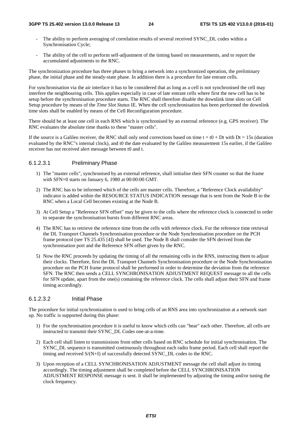- The ability to perform averaging of correlation results of several received SYNC\_DL codes within a Synchronisation Cycle;
- The ability of the cell to perform self-adjustment of the timing based on measurements, and to report the accumulated adjustments to the RNC.

The synchronization procedure has three phases to bring a network into a synchronized operation, the preliminary phase, the initial phase and the steady-state phase. In addition there is a procedure for late entrant cells.

For synchronisation via the air interface it has to be considered that as long as a cell is not synchronised the cell may interfere the neighbouring cells. This applies especially in case of late entrant cells where first the new cell has to be setup before the synchronisation procedure starts. The RNC shall therefore disable the downlink time slots on Cell Setup procedure by means of the *Time Slot Status* IE. When the cell synchronisation has been performed the downlink time slots shall be enabled by means of the Cell Reconfiguration procedure.

There should be at least one cell in each RNS which is synchronised by an external reference (e.g. GPS receiver). The RNC evaluates the absolute time thanks to these "master cells".

If the source is a Galileo receiver, the RNC shall only send corrections based on time  $t = t0 + Dt$  with Dt = 15s (duration evaluated by the RNC"s internal clock), and t0 the date evaluated by the Galileo measurement 15s earlier, if the Galileo receiver has not received alert message between t0 and t.

### 6.1.2.3.1 Preliminary Phase

- 1) The "master cells", synchronised by an external reference, shall initialise their SFN counter so that the frame with SFN=0 starts on January 6, 1980 at 00:00:00 GMT.
- 2) The RNC has to be informed which of the cells are master cells. Therefore, a "Reference Clock availability" indicator is added within the RESOURCE STATUS INDICATION message that is sent from the Node B to the RNC when a Local Cell becomes existing at the Node B.
- 3) At Cell Setup a "Reference SFN offset" may be given to the cells where the reference clock is connected in order to separate the synchronisation bursts from different RNC areas.
- 4) The RNC has to retrieve the reference time from the cells with reference clock. For the reference time retrieval the DL Transport Channels Synchronisation procedure or the Node Synchronisation procedure on the PCH frame protocol (see TS 25.435 [4]) shall be used. The Node B shall consider the SFN derived from the synchronisation port and the Reference SFN offset given by the RNC.
- 5) Now the RNC proceeds by updating the timing of all the remaining cells in the RNS, instructing them to adjust their clocks. Therefore, first the DL Transport Channels Synchronisation procedure or the Node Synchronisation procedure on the PCH frame protocol shall be performed in order to determine the deviation from the reference SFN. The RNC then sends a CELL SYNCHRONISATION ADJUSTMENT REQUEST message to all the cells for SFN update, apart from the one(s) containing the reference clock. The cells shall adjust their SFN and frame timing accordingly.

### 6.1.2.3.2 Initial Phase

The procedure for initial synchronization is used to bring cells of an RNS area into synchronization at a network start up. No traffic is supported during this phase:

- 1) For the synchronisation procedure it is useful to know which cells can "hear" each other. Therefore, all cells are instructed to transmit their SYNC\_DL Codes one-at-a-time.
- 2) Each cell shall listen to transmissions from other cells based on RNC schedule for initial synchronisation. The SYNC\_DL sequence is transmitted continuously throughout each radio frame period. Each cell shall report the timing and received S/(N+I) of successfully detected SYNC\_DL codes to the RNC.
- 3) Upon reception of a CELL SYNCHRONISATION ADJUSTMENT message the cell shall adjust its timing accordingly. The timing adjustment shall be completed before the CELL SYNCHRONISATION ADJUSTMENT RESPONSE message is sent. It shall be implemented by adjusting the timing and/or tuning the clock frequency.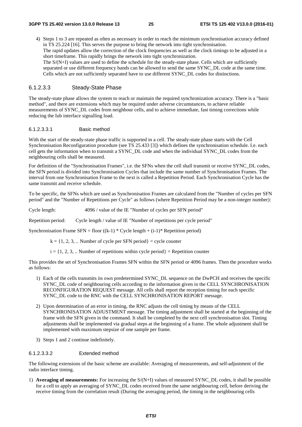4) Steps 1 to 3 are repeated as often as necessary in order to reach the minimum synchronisation accuracy defined in TS 25.224 [16]. This serves the purpose to bring the network into tight synchronisation. The rapid updates allow the correction of the clock frequencies as well as the clock timings to be adjusted in a short timeframe. This rapidly brings the network into tight synchronization. The S/(N+I) values are used to define the schedule for the steady-state phase. Cells which are sufficiently separated or use different frequency bands can be allowed to send the same SYNC\_DL code at the same time. Cells which are not sufficiently separated have to use different SYNC\_DL codes for distinctions.

### 6.1.2.3.3 Steady-State Phase

The steady-state phase allows the system to reach or maintain the required synchronization accuracy. There is a "basic method", and there are extensions which may be required under adverse circumstances, to achieve reliable measurements of SYNC\_DL codes from neighbour cells, and to achieve immediate, fast timing corrections while reducing the Iub interface signalling load.

#### 6.1.2.3.3.1 Basic method

With the start of the steady-state phase traffic is supported in a cell. The steady-state phase starts with the Cell Synchronisation Reconfiguration procedure (see TS 25.433 [3]) which defines the synchronisation schedule. I.e. each cell gets the information when to transmit a SYNC\_DL code and when the individual SYNC\_DL codes from the neighbouring cells shall be measured.

For definition of the "Synchronisation Frames", i.e. the SFNs when the cell shall transmit or receive SYNC\_DL codes, the SFN period is divided into Synchronisation Cycles that include the same number of Synchronisation Frames. The interval from one Synchronisation Frame to the next is called a Repetition Period. Each Synchronisation Cycle has the same transmit and receive schedule.

To be specific, the SFNs which are used as Synchronisation Frames are calculated from the "Number of cycles per SFN period" and the "Number of Repetitions per Cycle" as follows (where Repetition Period may be a non-integer number):

Cycle length: 4096 / value of the IE "Number of cycles per SFN period"

Repetition period: Cycle length / value of IE "Number of repetitions per cycle period"

Synchronisation Frame SFN = floor  $((k-1) * Cycle length + (i-1) * Repetition period)$ 

 $k = \{1, 2, 3, ...$  Number of cycle per SFN period  $\}$  = cycle counter

 $i = \{1, 2, 3, \dots$  Number of repetitions within cycle period  $\}$  = Repetition counter

This provides the set of Synchronisation Frames SFN within the SFN period or 4096 frames. Then the procedure works as follows:

- 1) Each of the cells transmits its own predetermined SYNC\_DL sequence on the DwPCH and receives the specific SYNC\_DL code of neighbouring cells according to the information given in the CELL SYNCHRONISATION RECONFIGURATION REQUEST message. All cells shall report the reception timing for each specific SYNC\_DL code to the RNC with the CELL SYNCHRONISATION REPORT message.
- 2) Upon determination of an error in timing, the RNC adjusts the cell timing by means of the CELL SYNCHRONISATION ADJUSTMENT message. The timing adjustment shall be started at the beginning of the frame with the SFN given in the command. It shall be completed by the next cell synchronisation slot. Timing adjustments shall be implemented via gradual steps at the beginning of a frame. The whole adjustment shall be implemented with maximum stepsize of one sample per frame.
- 3) Steps 1 and 2 continue indefinitely.

#### 6.1.2.3.3.2 Extended method

The following extensions of the basic scheme are available: Averaging of measurements, and self-adjustment of the radio interface timing.

1) **Averaging of measurements:** For increasing the S/(N+I) values of measured SYNC\_DL codes, it shall be possible for a cell to apply an averaging of SYNC\_DL codes received from the same neighbouring cell, before deriving the receive timing from the correlation result (During the averaging period, the timing in the neighbouring cells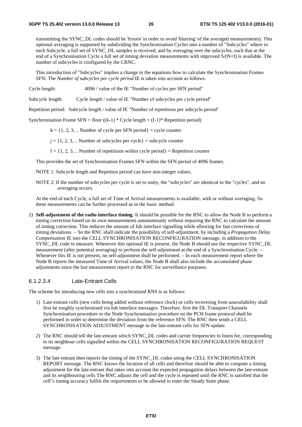transmitting the SYNC\_DL codes should be 'frozen' in order to avoid 'blurring' of the averaged measurements). This optional averaging is supported by subdividing the Synchronisation Cycles into a number of "Subcycles" where in each Subcycle, a full set of SYNC\_DL samples is received, and by averaging over the subcycles, such that at the end of a Synchronisation Cycle a full set of timing deviation measurements with improved S/(N+I) is available. The number of subcycles is configured by the CRNC.

This introduction of "Subcycles" implies a change in the equations how to calculate the Synchronisation Frames SFN: The *Number of subcycles per cycle period* IE is taken into account as follows:

Cycle length: 4096 / value of the IE "Number of cycles per SFN period"

Subcycle length: Cycle length / value of IE "Number of subcycles per cycle period"

Repetition period: Subcycle length / value of IE "Number of repetitions per subcycle period"

Synchronisation Frame SFN = floor  $((k-1) * Cycle length + (I-1) * Repetition period)$ 

 $k = \{1, 2, 3, \dots$  Number of cycle per SFN period $\}$  = cycle counter

- $j = \{1, 2, 3, \dots$  Number of subcycles per cycle = subcycle counter
- $I = \{1, 2, 3, \dots$  Number of repetitions within cycle period  $\}$  = Repetition counter

This provides the set of Synchronisation Frames SFN within the SFN period of 4096 frames.

NOTE 1: Subcycle length and Repetiton period can have non-integer values.

NOTE 2: If the number of subcycles per cycle is set to unity, the "subcycles" are identical to the "cycles", and no averaging occurs.

At the end of each Cycle, a full set of Time of Arrival measurements is available, with or without averaging. So these measurements can be further processed as in the basic method.

2) **Self-adjustment of the radio interface timing**: It should be possible for the RNC to allow the Node B to perform a timing correction based on its own measurements autonomously without requiring the RNC to calculate the amount of timing correction. This reduces the amount of Iub interface signalling while allowing for fast corrections of timing deviations. – So the RNC shall indicate the possibility of self-adjustment, by including a *Propagation Delay Compensation* IE into the CELL SYNCHRONISATION RECONFIGURATION message, in addition to the SYNC\_DL code to measure. Whenever this optional IE is present, the Node B should use the respective SYNC\_DL measurement (after potential averaging) to perform the self-adjustment at the end of a Synchronisation Cycle. – Whenever this IE is not present, no self-adjustment shall be performed. – In each measurement report where the Node B reports the measured Time of Arrival values, the Node B shall also include the accumulated phase adjustments since the last measurement report to the RNC for surveillance purposes.

### 6.1.2.3.4 Late-Entrant Cells

The scheme for introducing new cells into a synchronized RNS is as follows:

- 1) Late-entrant cells (new cells being added without reference clock) or cells recovering from unavailability shall first be roughly synchronised via Iub interface messages. Therefore, first the DL Transport Channels Synchronisation procedure or the Node Synchronisation procedure on the PCH frame protocol shall be performed in order to determine the deviation from the reference SFN. The RNC then sends a CELL SYNCHRONISATION ADJUSTMENT message to the late-entrant cells for SFN update.
- 2) The RNC should tell the late-entrant which SYNC\_DL codes and carrier frequencies to listen for, corresponding to its neighbour cells signalled within the CELL SYNCHRONISATION RECONFIGURATION REQUEST message.
- 3) The late entrant then reports the timing of the SYNC\_DL codes using the CELL SYNCHRONISATION REPORT message. The RNC knows the location of all cells and therefore should be able to compute a timing adjustment for the late-entrant that takes into account the expected propagation delays between the late-entrant and its neighbouring cells The RNC adjusts the cell and the cycle is repeated until the RNC is satisfied that the cell"s timing accuracy fulfils the requirements to be allowed to enter the Steady State phase.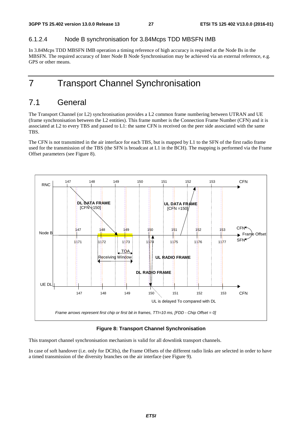### 6.1.2.4 Node B synchronisation for 3.84Mcps TDD MBSFN IMB

In 3.84Mcps TDD MBSFN IMB operation a timing reference of high accuracy is required at the Node Bs in the MBSFN. The required accuracy of Inter Node B Node Synchronisation may be achieved via an external reference, e.g. GPS or other means.

## 7 Transport Channel Synchronisation

## 7.1 General

The Transport Channel (or L2) synchronisation provides a L2 common frame numbering between UTRAN and UE (frame synchronisation between the L2 entities). This frame number is the Connection Frame Number (CFN) and it is associated at L2 to every TBS and passed to L1: the same CFN is received on the peer side associated with the same TBS.

The CFN is not transmitted in the air interface for each TBS, but is mapped by L1 to the SFN of the first radio frame used for the transmission of the TBS (the SFN is broadcast at L1 in the BCH). The mapping is performed via the Frame Offset parameters (see Figure 8).



#### **Figure 8: Transport Channel Synchronisation**

This transport channel synchronisation mechanism is valid for all downlink transport channels.

In case of soft handover (i.e. only for DCHs), the Frame Offsets of the different radio links are selected in order to have a timed transmission of the diversity branches on the air interface (see Figure 9).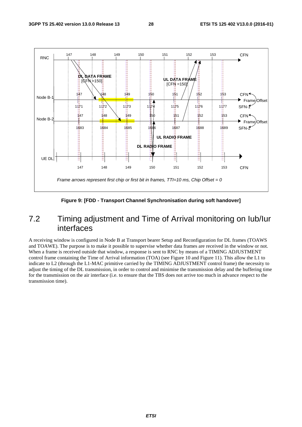

**Figure 9: [FDD - Transport Channel Synchronisation during soft handover]** 

## 7.2 Timing adjustment and Time of Arrival monitoring on Iub/Iur interfaces

A receiving window is configured in Node B at Transport bearer Setup and Reconfiguration for DL frames (TOAWS and TOAWE). The purpose is to make it possible to supervise whether data frames are received in the window or not. When a frame is received outside that window, a response is sent to RNC by means of a TIMING ADJUSTMENT control frame containing the Time of Arrival information (TOA) (see Figure 10 and Figure 11). This allow the L1 to indicate to L2 (through the L1-MAC primitive carried by the TIMING ADJUSTMENT control frame) the necessity to adjust the timing of the DL transmission, in order to control and minimise the transmission delay and the buffering time for the transmission on the air interface (i.e. to ensure that the TBS does not arrive too much in advance respect to the transmission time).

*ETSI*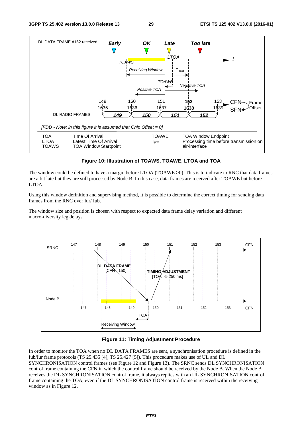

#### **Figure 10: Illustration of TOAWS, TOAWE, LTOA and TOA**

The window could be defined to have a margin before LTOA (TOAWE >0). This is to indicate to RNC that data frames are a bit late but they are still processed by Node B. In this case, data frames are received after TOAWE but before LTOA.

Using this window definition and supervising method, it is possible to determine the correct timing for sending data frames from the RNC over Iur/ Iub.

The window size and position is chosen with respect to expected data frame delay variation and different macro-diversity leg delays.



#### **Figure 11: Timing Adjustment Procedure**

In order to monitor the TOA when no DL DATA FRAMES are sent, a synchronisation procedure is defined in the Iub/Iur frame protocols (TS 25.435 [4], TS 25.427 [5]). This procedure makes use of UL and DL SYNCHRONISATION control frames (see Figure 12 and Figure 13). The SRNC sends DL SYNCHRONISATION control frame containing the CFN in which the control frame should be received by the Node B. When the Node B receives the DL SYNCHRONISATION control frame, it always replies with an UL SYNCHRONISATION control frame containing the TOA, even if the DL SYNCHRONISATION control frame is received within the receiving window as in Figure 12.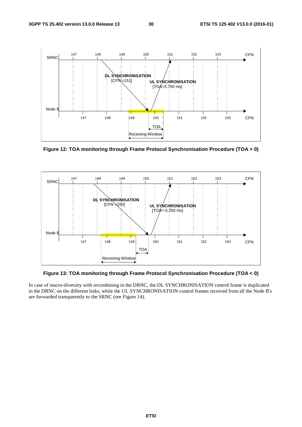

**Figure 12: TOA monitoring through Frame Protocol Synchronisation Procedure (TOA > 0)** 



**Figure 13: TOA monitoring through Frame Protocol Synchronisation Procedure (TOA < 0)** 

In case of macro-diversity with recombining in the DRNC, the DL SYNCHRONISATION control frame is duplicated in the DRNC on the different links, while the UL SYNCHRONISATION control frames received from all the Node B's are forwarded transparently to the SRNC (see Figure 14).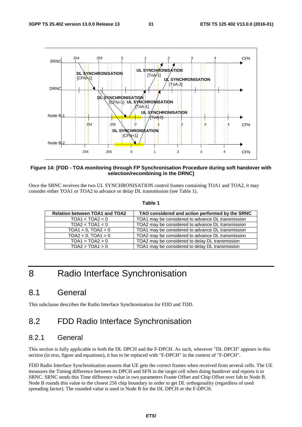

#### **Figure 14: [FDD - TOA monitoring through FP Synchronisation Procedure during soft handover with selection/recombining in the DRNC]**

Once the SRNC receives the two UL SYNCHRONISATION control frames containing TOA1 and TOA2, it may consider either TOA1 or TOA2 to advance or delay DL transmission (see Table 1).

#### **Table 1**

| <b>Relation between TOA1 and TOA2</b> | TAO considered and action performed by the SRNC   |
|---------------------------------------|---------------------------------------------------|
| TOA1 < TOA2 < 0                       | TOA1 may be considered to advance DL transmission |
| TOA2 < TOA1 < 0                       | TOA2 may be considered to advance DL transmission |
| $TOA1 < 0$ , $TOA2 > 0$               | TOA1 may be considered to advance DL transmission |
| $TOA2 < 0$ , $TOA1 > 0$               | TOA2 may be considered to advance DL transmission |
| TOA1 > TOA2 > 0                       | TOA2 may be considered to delay DL transmission   |
| TOA2 > TOA1 > 0                       | TOA1 may be considered to delay DL transmission   |

## 8 Radio Interface Synchronisation

## 8.1 General

This subclause describes the Radio Interface Synchronisation for FDD and TDD.

## 8.2 FDD Radio Interface Synchronisation

### 8.2.1 General

This section is fully applicable to both the DL DPCH and the F-DPCH. As such, wherever "DL DPCH" appears in this section (in text, figure and equations), it has to be replaced with "F-DPCH" in the context of "F-DPCH".

FDD Radio Interface Synchronisation assures that UE gets the correct frames when received from several cells. The UE measures the Timing difference between its DPCH and SFN in the target cell when doing handover and reports it to SRNC. SRNC sends this Time difference value in two parameters Frame Offset and Chip Offset over Iub to Node B. Node B rounds this value to the closest 256 chip boundary in order to get DL orthogonality (regardless of used spreading factor). The rounded value is used in Node B for the DL DPCH or the F-DPCH.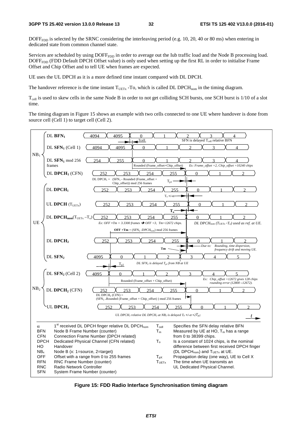DOFF<sub>FDD</sub> is selected by the SRNC considering the interleaving period (e.g. 10, 20, 40 or 80 ms) when entering in dedicated state from common channel state.

Services are scheduled by using  $DOFF<sub>FDD</sub>$  in order to average out the Iub traffic load and the Node B processing load. DOFF<sub>FDD</sub> (FDD Default DPCH Offset value) is only used when setting up the first RL in order to initialise Frame Offset and Chip Offset and to tell UE when frames are expected.

UE uses the UL DPCH as it is a more defined time instant compared with DL DPCH.

The handover reference is the time instant  $T_{\text{UETx}}$  -To, which is called DL DPCH<sub>nom</sub> in the timing diagram.

 $T_{cell}$  is used to skew cells in the same Node B in order to not get colliding SCH bursts, one SCH burst is 1/10 of a slot time.

The timing diagram in Figure 15 shows an example with two cells connected to one UE where handover is done from source cell (Cell 1) to target cell (Cell 2).



**Figure 15: FDD Radio Interface Synchronisation timing diagram**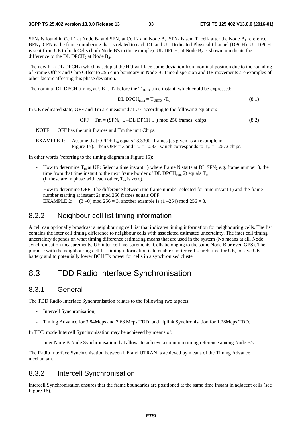$SFN_1$  is found in Cell 1 at Node  $B_1$  and  $SFN_2$  at Cell 2 and Node  $B_2$ .  $SFN_1$  is sent  $T_{cell_1}$  after the Node  $B_1$  reference BFN1. CFN is the frame numbering that is related to each DL and UL Dedicated Physical Channel (DPCH). UL DPCH is sent from UE to both Cells (both Node B's in this example). UL DPCH<sub>2</sub> at Node  $B_2$  is shown to indicate the difference to the DL DPCH<sub>2</sub> at Node  $B_2$ .

The new RL (DL DPCH<sub>2</sub>) which is setup at the HO will face some deviation from nominal position due to the rounding of Frame Offset and Chip Offset to 256 chip boundary in Node B. Time dispersion and UE movements are examples of other factors affecting this phase deviation.

The nominal DL DPCH timing at UE is  $T_0$  before the  $T_{\text{UETX}}$  time instant, which could be expressed:

$$
DL\ DPCH_{nom} = T_{UETX} - T_o \tag{8.1}
$$

In UE dedicated state, OFF and Tm are measured at UE according to the following equation:

$$
OFF + Tm = (SFNtarget - DL DPCHnom) mod 256 frames [chips]
$$
 (8.2)

NOTE: OFF has the unit Frames and Tm the unit Chips.

EXAMPLE 1: Assume that OFF +  $T_m$  equals "3.3300" frames (as given as an example in Figure 15). Then OFF = 3 and  $T_m$  = "0.33" which corresponds to  $T_m$  = 12672 chips.

In other words (referring to the timing diagram in Figure 15):

- How to determine  $T_m$  at UE: Select a time instant 1) where frame N starts at DL SFN<sub>2</sub> e.g. frame number 3, the time from that time instant to the next frame border of DL DPCH<sub>nom</sub> 2) equals  $T_m$ (if these are in phase with each other,  $T_m$  is zero).
- How to determine OFF: The difference between the frame number selected for time instant 1) and the frame number starting at instant 2) mod 256 frames equals OFF. EXAMPLE 2: (3 –0) mod 256 = 3, another example is  $(1 - 254)$  mod 256 = 3.

### 8.2.2 Neighbour cell list timing information

A cell can optionally broadcast a neighbouring cell list that indicates timing information for neighbouring cells. The list contains the inter cell timing difference to neighbour cells with associated estimated uncertainty. The inter cell timing uncertainty depends on what timing difference estimating means that are used in the system (No means at all, Node synchronisation measurements, UE inter-cell measurements, Cells belonging to the same Node B or even GPS). The purpose with the neighbouring cell list timing information is to enable shorter cell search time for UE, to save UE battery and to potentially lower BCH Tx power for cells in a synchronised cluster.

## 8.3 TDD Radio Interface Synchronisation

### 8.3.1 General

The TDD Radio Interface Synchronisation relates to the following two aspects:

- Intercell Synchronisation;
- Timing Advance for 3.84Mcps and 7.68 Mcps TDD, and Uplink Synchronisation for 1.28Mcps TDD.

In TDD mode Intercell Synchronisation may be achieved by means of:

- Inter Node B Node Synchronisation that allows to achieve a common timing reference among Node B's.

The Radio Interface Synchronisation between UE and UTRAN is achieved by means of the Timing Advance mechanism.

### 8.3.2 Intercell Synchronisation

Intercell Synchronisation ensures that the frame boundaries are positioned at the same time instant in adjacent cells (see Figure 16).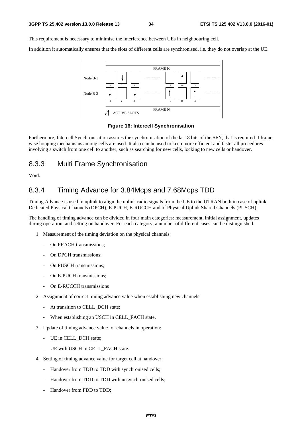This requirement is necessary to minimise the interference between UEs in neighbouring cell.

In addition it automatically ensures that the slots of different cells are synchronised, i.e. they do not overlap at the UE.



#### **Figure 16: Intercell Synchronisation**

Furthermore, Intercell Synchronisation assures the synchronisation of the last 8 bits of the SFN, that is required if frame wise hopping mechanisms among cells are used. It also can be used to keep more efficient and faster all procedures involving a switch from one cell to another, such as searching for new cells, locking to new cells or handover.

## 8.3.3 Multi Frame Synchronisation

Void.

## 8.3.4 Timing Advance for 3.84Mcps and 7.68Mcps TDD

Timing Advance is used in uplink to align the uplink radio signals from the UE to the UTRAN both in case of uplink Dedicated Physical Channels (DPCH), E-PUCH, E-RUCCH and of Physical Uplink Shared Channels (PUSCH).

The handling of timing advance can be divided in four main categories: measurement, initial assignment, updates during operation, and setting on handover. For each category, a number of different cases can be distinguished.

- 1. Measurement of the timing deviation on the physical channels:
	- On PRACH transmissions;
	- On DPCH transmissions:
	- On PUSCH transmissions:
	- On E-PUCH transmissions;
	- On E-RUCCH transmissions
- 2. Assignment of correct timing advance value when establishing new channels:
	- At transition to CELL\_DCH state;
	- When establishing an USCH in CELL\_FACH state.
- 3. Update of timing advance value for channels in operation:
	- UE in CELL\_DCH state;
	- UE with USCH in CELL\_FACH state.
- 4. Setting of timing advance value for target cell at handover:
	- Handover from TDD to TDD with synchronised cells;
	- Handover from TDD to TDD with unsynchronised cells;
	- Handover from FDD to TDD;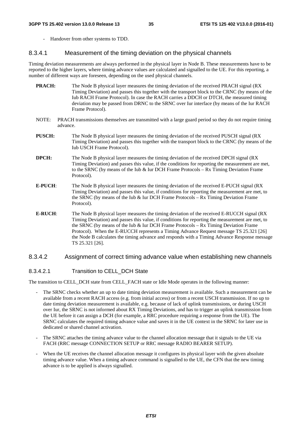- Handover from other systems to TDD.

### 8.3.4.1 Measurement of the timing deviation on the physical channels

Timing deviation measurements are always performed in the physical layer in Node B. These measurements have to be reported to the higher layers, where timing advance values are calculated and signalled to the UE. For this reporting, a number of different ways are foreseen, depending on the used physical channels.

- **PRACH:** The Node B physical layer measures the timing deviation of the received PRACH signal (RX Timing Deviation) and passes this together with the transport block to the CRNC (by means of the Iub RACH Frame Protocol). In case the RACH carries a DDCH or DTCH, the measured timing deviation may be passed from DRNC to the SRNC over Iur interface (by means of the Iur RACH Frame Protocol).
- NOTE: PRACH transmissions themselves are transmitted with a large guard period so they do not require timing advance.
- **PUSCH:** The Node B physical layer measures the timing deviation of the received PUSCH signal (RX Timing Deviation) and passes this together with the transport block to the CRNC (by means of the Iub USCH Frame Protocol).
- **DPCH:** The Node B physical layer measures the timing deviation of the received DPCH signal (RX Timing Deviation) and passes this value, if the conditions for reporting the measurement are met, to the SRNC (by means of the Iub & Iur DCH Frame Protocols – Rx Timing Deviation Frame Protocol).
- **E**-**PUCH**: The Node B physical layer measures the timing deviation of the received E-PUCH signal (RX Timing Deviation) and passes this value, if conditions for reporting the measurement are met, to the SRNC (by means of the Iub & Iur DCH Frame Protocols – Rx Timing Deviation Frame Protocol).
- **E-RUCH**: The Node B physical layer measures the timing deviation of the received E-RUCCH signal (RX Timing Deviation) and passes this value, if conditions for reporting the measurement are met, to the SRNC (by means of the Iub & Iur DCH Frame Protocols – Rx Timing Deviation Frame Protocol). When the E-RUCCH represents a Timing Advance Request message TS 25.321 [26] the Node B calculates the timing advance and responds with a Timing Advance Response message TS 25.321 [26].

#### 8.3.4.2 Assignment of correct timing advance value when establishing new channels

### 8.3.4.2.1 Transition to CELL DCH State

The transition to CELL\_DCH state from CELL\_FACH state or Idle Mode operates in the following manner:

- The SRNC checks whether an up to date timing deviation measurement is available. Such a measurement can be available from a recent RACH access (e.g. from initial access) or from a recent USCH transmission. If no up to date timing deviation measurement is available, e.g. because of lack of uplink transmissions, or during USCH over Iur, the SRNC is not informed about RX Timing Deviations, and has to trigger an uplink transmission from the UE before it can assign a DCH (for example, a RRC procedure requiring a response from the UE). The SRNC calculates the required timing advance value and saves it in the UE context in the SRNC for later use in dedicated or shared channel activation.
- The SRNC attaches the timing advance value to the channel allocation message that it signals to the UE via FACH (RRC message CONNECTION SETUP or RRC message RADIO BEARER SETUP).
- When the UE receives the channel allocation message it configures its physical layer with the given absolute timing advance value. When a timing advance command is signalled to the UE, the CFN that the new timing advance is to be applied is always signalled.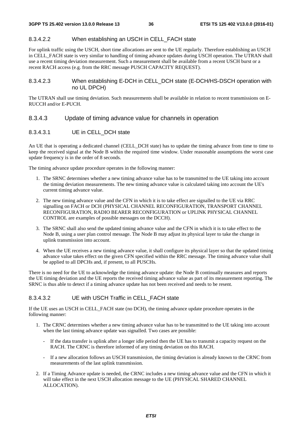#### 8.3.4.2.2 When establishing an USCH in CELL\_FACH state

For uplink traffic using the USCH, short time allocations are sent to the UE regularly. Therefore establishing an USCH in CELL\_FACH state is very similar to handling of timing advance updates during USCH operation. The UTRAN shall use a recent timing deviation measurement. Such a measurement shall be available from a recent USCH burst or a recent RACH access (e.g. from the RRC message PUSCH CAPACITY REQUEST).

#### 8.3.4.2.3 When establishing E-DCH in CELL\_DCH state (E-DCH/HS-DSCH operation with no UL DPCH)

The UTRAN shall use timing deviation. Such measurements shall be available in relation to recent transmissions on E-RUCCH and/or E-PUCH.

#### 8.3.4.3 Update of timing advance value for channels in operation

### 8.3.4.3.1 UE in CELL\_DCH state

An UE that is operating a dedicated channel (CELL\_DCH state) has to update the timing advance from time to time to keep the received signal at the Node B within the required time window. Under reasonable assumptions the worst case update frequency is in the order of 8 seconds.

The timing advance update procedure operates in the following manner:

- 1. The SRNC determines whether a new timing advance value has to be transmitted to the UE taking into account the timing deviation measurements. The new timing advance value is calculated taking into account the UE's current timing advance value.
- 2. The new timing advance value and the CFN in which it is to take effect are signalled to the UE via RRC signalling on FACH or DCH (PHYSICAL CHANNEL RECONFIGURATION, TRANSPORT CHANNEL RECONFIGURATION, RADIO BEARER RECONFIGURATION or UPLINK PHYSICAL CHANNEL CONTROL are examples of possible messages on the DCCH).
- 3. The SRNC shall also send the updated timing advance value and the CFN in which it is to take effect to the Node B, using a user plan control message. The Node B may adjust its physical layer to take the change in uplink transmission into account.
- 4. When the UE receives a new timing advance value, it shall configure its physical layer so that the updated timing advance value takes effect on the given CFN specified within the RRC message. The timing advance value shall be applied to all DPCHs and, if present, to all PUSCHs.

There is no need for the UE to acknowledge the timing advance update: the Node B continually measures and reports the UE timing deviation and the UE reports the received timing advance value as part of its measurement reporting. The SRNC is thus able to detect if a timing advance update has not been received and needs to be resent.

### 8.3.4.3.2 UE with USCH Traffic in CELL FACH state

If the UE uses an USCH in CELL\_FACH state (no DCH), the timing advance update procedure operates in the following manner:

- 1. The CRNC determines whether a new timing advance value has to be transmitted to the UE taking into account when the last timing advance update was signalled. Two cases are possible:
	- If the data transfer is uplink after a longer idle period then the UE has to transmit a capacity request on the RACH. The CRNC is therefore informed of any timing deviation on this RACH.
	- If a new allocation follows an USCH transmission, the timing deviation is already known to the CRNC from measurements of the last uplink transmission.
- 2. If a Timing Advance update is needed, the CRNC includes a new timing advance value and the CFN in which it will take effect in the next USCH allocation message to the UE (PHYSICAL SHARED CHANNEL ALLOCATION).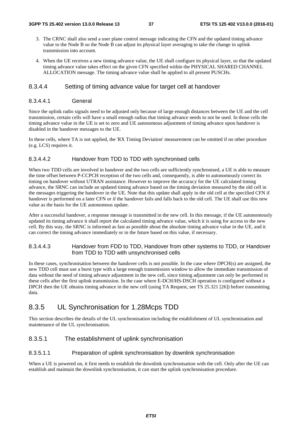- 3. The CRNC shall also send a user plane control message indicating the CFN and the updated timing advance value to the Node B so the Node B can adjust its physical layer averaging to take the change in uplink transmission into account.
- 4. When the UE receives a new timing advance value, the UE shall configure its physical layer, so that the updated timing advance value takes effect on the given CFN specified within the PHYSICAL SHARED CHANNEL ALLOCATION message. The timing advance value shall be applied to all present PUSCHs.

### 8.3.4.4 Setting of timing advance value for target cell at handover

#### 8.3.4.4.1 General

Since the uplink radio signals need to be adjusted only because of large enough distances between the UE and the cell transmission, certain cells will have a small enough radius that timing advance needs to not be used. In those cells the timing advance value in the UE is set to zero and UE autonomous adjustment of timing advance upon handover is disabled in the handover messages to the UE.

In these cells, where TA is not applied, the 'RX Timing Deviation' measurement can be omitted if no other procedure (e.g. LCS) requires it.

#### 8.3.4.4.2 Handover from TDD to TDD with synchronised cells

When two TDD cells are involved in handover and the two cells are sufficiently synchronised, a UE is able to measure the time offset between P-CCPCH reception of the two cells and, consequently, is able to autonomously correct its timing on handover without UTRAN assistance. However to improve the accuracy for the UE calculated timing advance, the SRNC can include an updated timing advance based on the timing deviation measured by the old cell in the messages triggering the handover in the UE. Note that this update shall apply in the old cell at the specified CFN if handover is performed on a later CFN or if the handover fails and falls back to the old cell. The UE shall use this new value as the basis for the UE autonomous update.

After a successful handover, a response message is transmitted in the new cell. In this message, if the UE autonomously updated its timing advance it shall report the calculated timing advance value, which it is using for access to the new cell. By this way, the SRNC is informed as fast as possible about the absolute timing advance value in the UE, and it can correct the timing advance immediately or in the future based on this value, if necessary.

### 8.3.4.4.3 Handover from FDD to TDD, Handover from other systems to TDD, or Handover from TDD to TDD with unsynchronised cells

In these cases, synchronisation between the handover cells is not possible. In the case where DPCH(s) are assigned, the new TDD cell must use a burst type with a large enough transmission window to allow the immediate transmission of data without the need of timing advance adjustment in the new cell, since timing adjustment can only be performed in these cells after the first uplink transmission. In the case where E-DCH/HS-DSCH operation is configured without a DPCH then the UE obtains timing advance in the new cell (using TA Request, see TS 25.321 [26]) before transmitting data.

## 8.3.5 UL Synchronisation for 1.28Mcps TDD

This section describes the details of the UL synchronisation including the establishment of UL synchronisation and maintenance of the UL synchronisation.

### 8.3.5.1 The establishment of uplink synchronisation

### 8.3.5.1.1 Preparation of uplink synchronisation by downlink synchronisation

When a UE is powered on, it first needs to establish the downlink synchronisation with the cell. Only after the UE can establish and maintain the downlink synchronisation, it can start the uplink synchronisation procedure.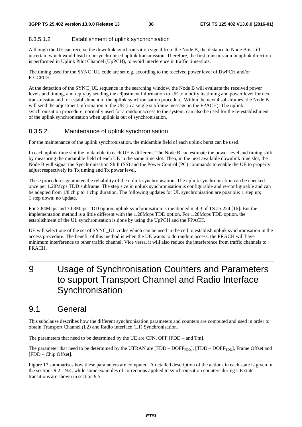### 8.3.5.1.2 Establishment of uplink synchronisation

Although the UE can receive the downlink synchronisation signal from the Node B, the distance to Node B is still uncertain which would lead to unsynchronised uplink transmission. Therefore, the first transmission in uplink direction is performed in Uplink Pilot Channel (UpPCH), to avoid interference in traffic time-slots.

The timing used for the SYNC\_UL code are set e.g. according to the received power level of DwPCH and/or P-CCPCH.

At the detection of the SYNC\_UL sequence in the searching window, the Node B will evaluate the received power levels and timing, and reply by sending the adjustment information to UE to modify its timing and power level for next transmission and for establishment of the uplink synchronisation procedure. Within the next 4 sub-frames, the Node B will send the adjustment information to the UE (in a single subframe message in the FPACH). The uplink synchronisation procedure, normally used for a random access to the system, can also be used for the re-establishment of the uplink synchronisation when uplink is out of synchronisation.

### 8.3.5.2. Maintenance of uplink synchronisation

For the maintenance of the uplink synchronisation, the midamble field of each uplink burst can be used.

In each uplink time slot the midamble in each UE is different. The Node B can estimate the power level and timing shift by measuring the midamble field of each UE in the same time slot. Then, in the next available downlink time slot, the Node B will signal the Synchronisation Shift (SS) and the Power Control (PC) commands to enable the UE to properly adjust respectively its Tx timing and Tx power level.

These procedures guarantee the reliability of the uplink synchronisation. The uplink synchronisation can be checked once per 1.28Mcps TDD subframe. The step size in uplink synchronisation is configurable and re-configurable and can be adapted from 1/8 chip to 1 chip duration. The following updates for UL synchronisation are possible: 1 step up; 1 step down; no update.

For 3.84Mcps and 7.68Mcps TDD option, uplink synchronisation is mentioned in 4.3 of TS 25.224 [16]. But the implementation method is a little different with the 1.28Mcps TDD option. For 1.28Mcps TDD option, the establishment of the UL synchronisation is done by using the UpPCH and the FPACH.

UE will select one of the set of SYNC\_UL codes which can be used in the cell to establish uplink synchronisation in the access procedure. The benefit of this method is when the UE wants to do random access, the PRACH will have minimum interference to other traffic channel. Vice versa, it will also reduce the interference from traffic channels to PRACH.

## 9 Usage of Synchronisation Counters and Parameters to support Transport Channel and Radio Interface **Synchronisation**

## 9.1 General

This subclause describes how the different synchronisation parameters and counters are computed and used in order to obtain Transport Channel (L2) and Radio Interface (L1) Synchronisation.

The parameters that need to be determined by the UE are CFN, OFF [FDD – and Tm].

The parameter that need to be determined by the UTRAN are  $[FDD - DOFF_{FDD}]$ ,  $[TDD - DOFF_{TDD}]$ , Frame Offset and [FDD – Chip Offset].

Figure 17 summarises how these parameters are computed. A detailed description of the actions in each state is given in the sections 9.2 – 9.4, while some examples of corrections applied to synchronisation counters during UE state transitions are shown in section 9.5.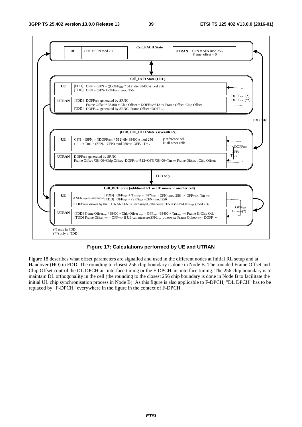

### **Figure 17: Calculations performed by UE and UTRAN**

Figure 18 describes what offset parameters are signalled and used in the different nodes at Initial RL setup and at Handover (HO) in FDD. The rounding to closest 256 chip boundary is done in Node B. The rounded Frame Offset and Chip Offset control the DL DPCH air-interface timing or the F-DPCH air-interface timing. The 256 chip boundary is to maintain DL orthogonality in the cell (the rounding to the closest 256 chip boundary is done in Node B to facilitate the initial UL chip synchronisation process in Node B). As this figure is also applicable to F-DPCH, "DL DPCH" has to be replaced by "F-DPCH" everywhere in the figure in the context of F-DPCH.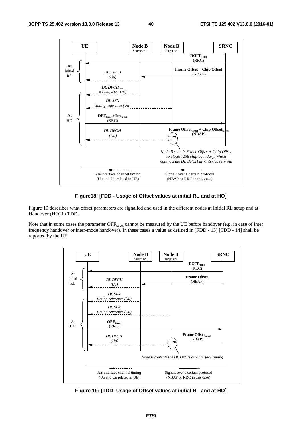

#### **Figure18: [FDD - Usage of Offset values at initial RL and at HO]**

Figure 19 describes what offset parameters are signalled and used in the different nodes at Initial RL setup and at Handover (HO) in TDD.

Note that in some cases the parameter OFF<sub>target</sub> cannot be measured by the UE before handover (e.g. in case of inter frequency handover or inter-mode handover). In these cases a value as defined in [FDD - 13] [TDD - 14] shall be reported by the UE.



**Figure 19: [TDD- Usage of Offset values at initial RL and at HO]**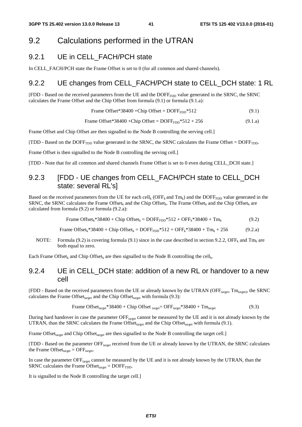## 9.2 Calculations performed in the UTRAN

## 9.2.1 UE in CELL\_FACH/PCH state

In CELL\_FACH/PCH state the Frame Offset is set to 0 (for all common and shared channels).

## 9.2.2 UE changes from CELL FACH/PCH state to CELL DCH state: 1 RL

[FDD - Based on the received parameters from the UE and the DOFF<sub>FDD</sub> value generated in the SRNC, the SRNC calculates the Frame Offset and the Chip Offset from formula (9.1) or formula (9.1.a):

Frame Offset\*38400 + Chip Offset = DOFF<sub>FDD</sub>\*512 
$$
(9.1)
$$

Frame Offset\*38400 +Chip Offset =  $DOFF_{FDD}$ \*512 + 256 (9.1.a)

Frame Offset and Chip Offset are then signalled to the Node B controlling the serving cell.]

 $[TDD - Based on the DOFF<sub>TDD</sub> value generated in the SRNC, the SRNC calculates the Frame Offset = DOFF<sub>TDD</sub>.$ 

Frame Offset is then signalled to the Node B controlling the serving cell.]

[TDD - Note that for all common and shared channels Frame Offset is set to 0 even during CELL\_DCH state.]

## 9.2.3 **[FDD - UE changes from CELL FACH/PCH state to CELL DCH** state: several RL's]

Based on the received parameters from the UE for each cell<sub>k</sub> (OFF<sub>k</sub> and Tm<sub>k</sub>) and the DOFF<sub>FDD</sub> value generated in the SRNC, the SRNC calculates the Frame Offset<sub>k</sub> and the Chip Offset<sub>k</sub>. The Frame Offset<sub>k</sub> and the Chip Offset<sub>k</sub> are calculated from formula (9.2) or formula (9.2.a):

| Frame Offset <sub>k</sub> *38400 + Chip Offset <sub>k</sub> = $DOFF_{FDD}$ *512 + $OFF_k$ *38400 + Tm <sub>k</sub> | (9.2) |
|--------------------------------------------------------------------------------------------------------------------|-------|
|--------------------------------------------------------------------------------------------------------------------|-------|

Frame Offset<sub>k</sub>\*38400 + Chip Offset<sub>k</sub> = DOFF<sub>FDD</sub>\*512 + OFF<sub>k</sub>\*38400 + Tm<sub>k</sub> + 256 (9.2.a)

NOTE: Formula (9.2) is covering formula (9.1) since in the case described in section 9.2.2, OFF<sub>k</sub> and Tm<sub>k</sub> are both equal to zero.

Each Frame Offset<sub>k</sub> and Chip Offset<sub>k</sub> are then signalled to the Node B controlling the cell<sub>k</sub>.

## 9.2.4 UE in CELL DCH state: addition of a new RL or handover to a new cell

[FDD - Based on the received parameters from the UE or already known by the UTRAN (OFF<sub>target</sub>, Tm<sub>target</sub>), the SRNC calculates the Frame Offset<sub>target</sub> and the Chip Offset<sub>target</sub> with formula (9.3):

Frame Offsettarget\*38400 + Chip Offset target= OFFtarget\*38400 + Tmtarget (9.3)

During hard handover in case the parameter OFF<sub>target</sub> cannot be measured by the UE and it is not already known by the UTRAN, than the SRNC calculates the Frame Offset<sub>target</sub> and the Chip Offset<sub>target</sub> with formula (9.1).

Frame Offset<sub>target</sub> and Chip Offset<sub>target</sub> are then signalled to the Node B controlling the target cell.]

[TDD - Based on the parameter OFF<sub>target</sub> received from the UE or already known by the UTRAN, the SRNC calculates the Frame Offset $_{\text{target}}$  = OFF $_{\text{target}}$ .

In case the parameter OFF<sub>target</sub> cannot be measured by the UE and it is not already known by the UTRAN, than the SRNC calculates the Frame Offset $_{\text{target}}$  = DOFF<sub>TDD</sub>.

It is signalled to the Node B controlling the target cell.]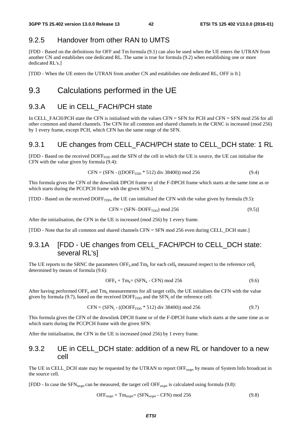## 9.2.5 Handover from other RAN to UMTS

[FDD - Based on the definitions for OFF and Tm formula (9.1) can also be used when the UE enters the UTRAN from another CN and establishes one dedicated RL. The same is true for formula (9.2) when establishing one or more dedicated RL's.]

[TDD - When the UE enters the UTRAN from another CN and establishes one dedicated RL, OFF is 0.]

## 9.3 Calculations performed in the UE

## 9.3.A UE in CELL\_FACH/PCH state

In CELL FACH/PCH state the CFN is initialised with the values CFN = SFN for PCH and CFN = SFN mod 256 for all other common and shared channels. The CFN for all common and shared channels in the CRNC is increased (mod 256) by 1 every frame, except PCH, which CFN has the same range of the SFN.

## 9.3.1 UE changes from CELL\_FACH/PCH state to CELL\_DCH state: 1 RL

[FDD - Based on the received DOFF<sub>FDD</sub> and the SFN of the cell in which the UE is source, the UE can initialise the CFN with the value given by formula (9.4):

$$
CFN = (SFN - ((DOFFFDD * 512) div 38400)) mod 256
$$
 (9.4)

This formula gives the CFN of the downlink DPCH frame or of the F-DPCH frame which starts at the same time as or which starts during the PCCPCH frame with the given SFN.]

 $[TDD - Based on the received DOFF<sub>TDD</sub>$ , the UE can initialised the CFN with the value given by formula (9.5):

$$
CFN = (SFN - DOFFTDD) \text{ mod } 256 \tag{9.5}
$$

After the initialisation, the CFN in the UE is increased (mod 256) by 1 every frame.

[TDD - Note that for all common and shared channels CFN = SFN mod 256 even during CELL\_DCH state.]

## 9.3.1A [FDD - UE changes from CELL\_FACH/PCH to CELL\_DCH state: several RL's]

The UE reports to the SRNC the parameters OFF<sub>k</sub> and  $Tm_k$  for each cell<sub>k</sub> measured respect to the reference cell<sub>i</sub> determined by means of formula (9.6):

$$
OFF_k + Tm_k = (SFN_k - CFN) \mod 256 \tag{9.6}
$$

After having performed OFF<sub>k</sub> and Tm<sub>k</sub> measurements for all target cells, the UE initialises the CFN with the value given by formula (9.7), based on the received  $DOFF<sub>FDD</sub>$  and the SFN<sub>i</sub> of the reference cell:

$$
CFN = (SFNj - ((DOFFFDD * 512) div 38400)) mod 256
$$
 (9.7)

This formula gives the CFN of the downlink DPCH frame or of the F-DPCH frame which starts at the same time as or which starts during the PCCPCH frame with the given SFN.

After the initialisation, the CFN in the UE is increased (mod 256) by 1 every frame.

### 9.3.2 UE in CELL\_DCH state: addition of a new RL or handover to a new cell

The UE in CELL\_DCH state may be requested by the UTRAN to report OFF<sub>target</sub> by means of System Info broadcast in the source cell.

[FDD - In case the  $SFN_{\text{target}}$  can be measured, the target cell OFF<sub>target</sub> is calculated using formula (9.8):

$$
OFFtarget + Tmtarget = (SFNtarget - CFN) mod 256
$$
 (9.8)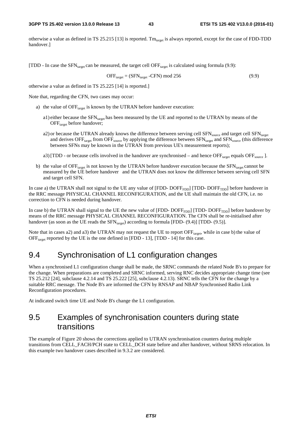otherwise a value as defined in TS 25.215 [13] is reported. Tm<sub>target</sub> is always reported, except for the case of FDD-TDD handover.]

[TDD - In case the SFN<sub>target</sub> can be measured, the target cell OFF<sub>target</sub> is calculated using formula (9.9):

$$
\text{OFF}_{\text{target}} = (\text{SFN}_{\text{target}} - \text{CFN}) \text{ mod } 256 \tag{9.9}
$$

otherwise a value as defined in TS 25.225 [14] is reported.]

Note that, regarding the CFN, two cases may occur:

- a) the value of  $\text{OFF}_{\text{target}}$  is known by the UTRAN before handover execution:
	- a1) either because the  $SFN_{\text{target}}$  has been measured by the UE and reported to the UTRAN by means of the OFF<sub>target</sub> before handover;
	- a2) or because the UTRAN already knows the difference between serving cell  $SFN_{source}$  and target cell  $SFN_{target}$ and derives  $\text{OFF}_{\text{target}}$  from  $\text{OFF}_{\text{source}}$  by applying the difference between  $\text{SFN}_{\text{target}}$  and  $\text{SFN}_{\text{source}}$  (this difference between SFNs may be known in the UTRAN from previous UE's measurement reports);
	- a3) [TDD or because cells involved in the handover are synchronised and hence  $\text{OFF}_{\text{target}}$  equals  $\text{OFF}_{\text{source}}$  ].
- b) the value of OFF $_{\text{target}}$  is not known by the UTRAN before handover execution because the  $\text{SFN}_{\text{target}}$  cannot be measured by the UE before handover and the UTRAN does not know the difference between serving cell SFN and target cell SFN.

In case a) the UTRAN shall not signal to the UE any value of  $[FDD-DOFF_{FDD}]$   $[TDD-DOFF_{TDD}]$  before handover in the RRC message PHYSICAL CHANNEL RECONFIGURATION, and the UE shall maintain the old CFN, i.e. no correction to CFN is needed during handover.

In case b) the UTRAN shall signal to the UE the new value of  $[FDD-DOFF_{FDD}]$   $[TDD-DOFF_{TDD}]$  before handover by means of the RRC message PHYSICAL CHANNEL RECONFIGURATION. The CFN shall be re-initialised after handover (as soon as the UE reads the  $SFN_{\text{target}}$ ) according to formula [FDD- (9.4)] [TDD- (9.5)].

Note that in cases a2) and a3) the UTRAN may not request the UE to report OFF<sub>target</sub>, while in case b) the value of OFF $_{\text{target}}$  reported by the UE is the one defined in [FDD - 13], [TDD - 14] for this case.

## 9.4 Synchronisation of L1 configuration changes

When a synchronised L1 configuration change shall be made, the SRNC commands the related Node B's to prepare for the change. When preparations are completed and SRNC informed, serving RNC decides appropriate change time (see TS 25.212 [24], subclause 4.2.14 and TS 25.222 [25], subclause 4.2.13). SRNC tells the CFN for the change by a suitable RRC message. The Node B's are informed the CFN by RNSAP and NBAP Synchronised Radio Link Reconfiguration procedures.

At indicated switch time UE and Node B's change the L1 configuration.

## 9.5 Examples of synchronisation counters during state transitions

The example of Figure 20 shows the corrections applied to UTRAN synchronisation counters during multiple transitions from CELL\_FACH/PCH state to CELL\_DCH state before and after handover, without SRNS relocation. In this example two handover cases described in 9.3.2 are considered.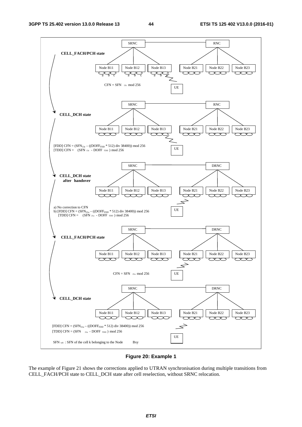

### **Figure 20: Example 1**

The example of Figure 21 shows the corrections applied to UTRAN synchronisation during multiple transitions from CELL\_FACH/PCH state to CELL\_DCH state after cell reselection, without SRNC relocation.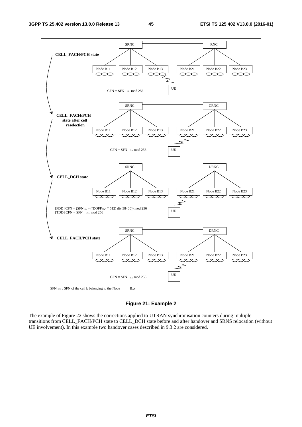

#### **Figure 21: Example 2**

The example of Figure 22 shows the corrections applied to UTRAN synchronisation counters during multiple transitions from CELL\_FACH/PCH state to CELL\_DCH state before and after handover and SRNS relocation (without UE involvement). In this example two handover cases described in 9.3.2 are considered.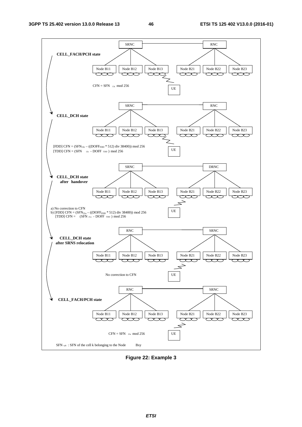

**Figure 22: Example 3**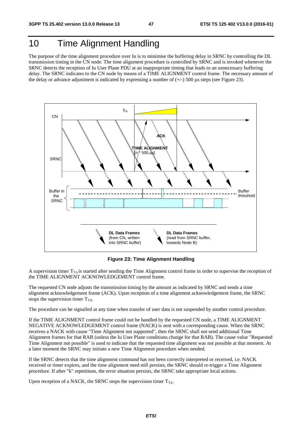## 10 Time Alignment Handling

The purpose of the time alignment procedure over Iu is to minimise the buffering delay in SRNC by controlling the DL transmission timing in the CN node. The time alignment procedure is controlled by SRNC and is invoked whenever the SRNC detects the reception of Iu User Plane PDU at an inappropriate timing that leads to an unnecessary buffering delay. The SRNC indicates to the CN node by means of a TIME ALIGNMENT control frame. The necessary amount of the delay or advance adjustment is indicated by expressing a number of  $(+/-)$  500 µs steps (see Figure 23).



**Figure 23: Time Alignment Handling** 

A supervision timer  $T_{TA}$  is started after sending the Time Alignment control frame in order to supervise the reception of the TIME ALIGNMENT ACKNOWLEDGEMENT control frame.

The requested CN node adjusts the transmission timing by the amount as indicated by SRNC and sends a time alignment acknowledgement frame (ACK). Upon reception of a time alignment acknowledgement frame, the SRNC stops the supervision timer  $T_{TA}$ .

The procedure can be signalled at any time when transfer of user data is not suspended by another control procedure.

If the TIME ALIGNMENT control frame could not be handled by the requested CN node, a TIME ALIGNMENT NEGATIVE ACKNOWLEDGEMENT control frame (NACK) is sent with a corresponding cause. When the SRNC receives a NACK with cause "Time Alignment not supported", then the SRNC shall not send additional Time Alignment frames for that RAB (unless the Iu User Plane conditions change for that RAB). The cause value "Requested Time Alignment not possible" is used to indicate that the requested time alignment was not possible at that moment. At a later moment the SRNC may initiate a new Time Alignment procedure when needed.

If the SRNC detects that the time alignment command has not been correctly interpreted or received, i.e. NACK received or timer expires, and the time alignment need still persists, the SRNC should re-trigger a Time Alignment procedure. If after "k" repetitions, the error situation persists, the SRNC take appropriate local actions.

Upon reception of a NACK, the SRNC stops the supervision timer  $T_{TA}$ .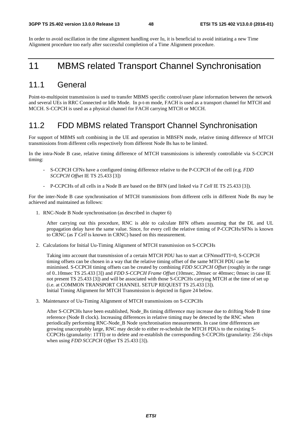In order to avoid oscillation in the time alignment handling over Iu, it is beneficial to avoid initiating a new Time Alignment procedure too early after successful completion of a Time Alignment procedure.

## 11 MBMS related Transport Channel Synchronisation

## 11.1 General

Point-to-multipoint transmission is used to transfer MBMS specific control/user plane information between the network and several UEs in RRC Connected or Idle Mode. In p-t-m mode, FACH is used as a transport channel for MTCH and MCCH. S-CCPCH is used as a physical channel for FACH carrying MTCH or MCCH.

## 11.2 FDD MBMS related Transport Channel Synchronisation

For support of MBMS soft combining in the UE and operation in MBSFN mode, relative timing difference of MTCH transmissions from different cells respectively from different Node Bs has to be limited.

In the intra-Node B case, relative timing difference of MTCH transmissions is inherently controllable via S-CCPCH timing:

- S-CCPCH CFNs have a configured timing difference relative to the P-CCPCH of the cell (e.g. *FDD SCCPCH Offset* IE TS 25.433 [3])
- P-CCPCHs of all cells in a Node B are based on the BFN (and linked via *T Cell* IE TS 25.433 [3]).

For the inter-Node B case synchronisation of MTCH transmissions from different cells in different Node Bs may be achieved and maintained as follows:

1. RNC-Node B Node synchronisation (as described in chapter 6)

After carrying out this procedure, RNC is able to calculate BFN offsets assuming that the DL and UL propagation delay have the same value. Since, for every cell the relative timing of P-CCPCHs/SFNs is known to CRNC (as *T Cell* is known in CRNC) based on this measurement.

2. Calculations for Initial Uu-Timing Alignment of MTCH transmission on S-CCPCHs

Taking into account that transmission of a certain MTCH PDU has to start at CFNmodTTI=0, S-CCPCH timing offsets can be chosen in a way that the relative timing offset of the same MTCH PDU can be minimised. S-CCPCH timing offsets can be created by combining *FDD SCCPCH Offset* (roughly in the range of 0..10msec TS 25.433 [3]) and *FDD S-CCPCH Frame Offset* (10msec, 20msec or 40msec; 0msec in case IE not present TS 25.433 [3]) and will be associated with those S-CCPCHs carrying MTCH at the time of set up (i.e. at COMMON TRANSPORT CHANNEL SETUP REQUEST TS 25.433 [3]). Initial Timing Alignment for MTCH Transmission is depicted in figure 24 below.

3. Maintenance of Uu-Timing Alignment of MTCH transmissions on S-CCPCHs

After S-CCPCHs have been established, Node\_Bs timing difference may increase due to drifting Node B time reference (Node B clock). Increasing differences in relative timing may be detected by the RNC when periodically performing RNC-Node\_B Node synchronisation measurements. In case time differences are growing unacceptably large, RNC may decide to either re-schedule the MTCH PDUs to the existing S-CCPCHs (granularity: 1TTI) or to delete and re-establish the corresponding S-CCPCHs (granularity: 256 chips when using *FDD SCCPCH Offset* TS 25.433 [3]).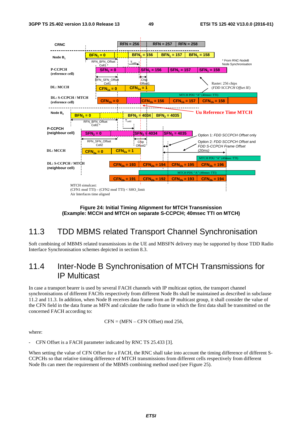

**Figure 24: Initial Timing Alignment for MTCH Transmission (Example: MCCH and MTCH on separate S-CCPCH; 40msec TTI on MTCH)** 

## 11.3 TDD MBMS related Transport Channel Synchronisation

Soft combining of MBMS related transmissions in the UE and MBSFN delivery may be supported by those TDD Radio Interface Synchronisation schemes depicted in section 8.3.

## 11.4 Inter-Node B Synchronisation of MTCH Transmissions for IP Multicast

In case a transport bearer is used by several FACH channels with IP multicast option, the transport channel synchronisations of different FACHs respectively from different Node Bs shall be maintained as described in subclause 11.2 and 11.3. In addition, when Node B receives data frame from an IP multicast group, it shall consider the value of the CFN field in the data frame as MFN and calculate the radio frame in which the first data shall be transmitted on the concerned FACH according to:

$$
CFN = (MFN - CFN \t{Offset}) \b{mod 256},
$$

where:

CFN Offset is a FACH parameter indicated by RNC TS 25.433 [3].

When setting the value of CFN Offset for a FACH, the RNC shall take into account the timing difference of different S-CCPCHs so that relative timing difference of MTCH transmissions from different cells respectively from different Node Bs can meet the requirement of the MBMS combining method used (see Figure 25).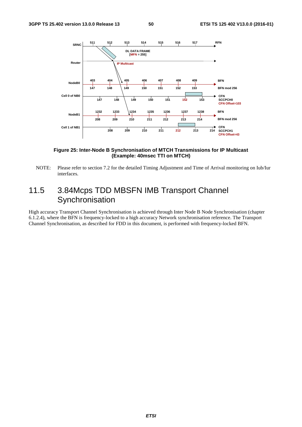

### **Figure 25: Inter-Node B Synchronisation of MTCH Transmissions for IP Multicast (Example: 40msec TTI on MTCH)**

NOTE: Please refer to section 7.2 for the detailed Timing Adjustment and Time of Arrival monitoring on Iub/Iur interfaces.

## 11.5 3.84Mcps TDD MBSFN IMB Transport Channel **Synchronisation**

High accuracy Transport Channel Synchronisation is achieved through Inter Node B Node Synchronisation (chapter 6.1.2.4), where the BFN is frequency-locked to a high accuracy Network synchronisation reference. The Transport Channel Synchronisation, as described for FDD in this document, is performed with frequency-locked BFN.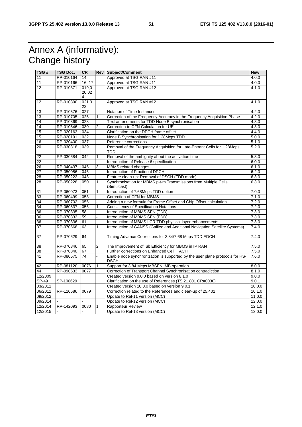## Annex A (informative): Change history

| TSG#            | TSG Doc.  | <b>CR</b>  |                | Rev Subject/Comment                                                                         | <b>New</b> |
|-----------------|-----------|------------|----------------|---------------------------------------------------------------------------------------------|------------|
| 11              | RP-010164 | 14         |                | Approved at TSG RAN #11                                                                     | 4.0.0      |
| 11              | RP-010166 | 16, 17     |                | Approved at TSG RAN #11                                                                     | 4.0.0      |
| 12              | RP-010371 | 019,0      |                | Approved at TSG RAN #12                                                                     | 4.1.0      |
|                 |           | 20,02<br>4 |                |                                                                                             |            |
| 12              | RP-010390 | 021.0      |                | Approved at TSG RAN #12                                                                     | 4.1.0      |
|                 |           | 22         |                |                                                                                             |            |
| 13              | RP-010576 | 027        |                | Notation of Time Instances                                                                  | 4.2.0      |
| 13              | RP-010705 | 025        | 1              | Correction of the Frequency Accuracy in the Frequency Acquisition Phase                     | 4.2.0      |
| 14              | RP-010869 | 028        |                | Text amendments for TDD Node B synchronisation                                              | 4.3.0      |
| 14              | RP-010846 | 030        | $\overline{2}$ | Correction to CFN Calculation for UE                                                        | 4.3.0      |
| 15              | RP-020163 | 034        |                | Clarification on the DPCH frame offset                                                      | 4.4.0      |
| 15              | RP-020191 | 032        |                | Node B Synchronisation for 1.28Mcps TDD                                                     | 5.0.0      |
| 16              | RP-020400 | 037        |                | Reference corrections                                                                       | 5.1.0      |
| 20              | RP-030318 | 039        |                | Removal of the Frequency Acquisition for Late-Entrant Cells for 1.28Mcps                    | 5.2.0      |
|                 |           |            |                | TDD                                                                                         |            |
| $\overline{22}$ | RP-030684 | 042        | 1              | Removal of the ambiguity about the activation time                                          | 5.3.0      |
| 22              |           |            |                | Introduction of Release 6 specification                                                     | 6.0.0      |
| 26              | RP-040437 | 045        | 3              | MBMS related changes                                                                        | 6.1.0      |
| 27              | RP-050056 | 046        | L.             | Introduction of Fractional DPCH                                                             | 6.2.0      |
| 28              | RP-050222 | 048        |                | Feature clean-up: Removal of DSCH (FDD mode)                                                | 6.3.0      |
| 28              | RP-050228 | 050        | $\mathbf{1}$   | Synchronisation for MBMS p-t-m Transmissions from Multiple Cells<br>(Simulcast)             | 6.3.0      |
| 31              | RP-060073 | 051        | 1              | Introduction of 7.68Mcps TDD option                                                         | 7.0.0      |
| 33              | RP-060499 | 053        |                | Correction of CFN for MBMS                                                                  | 7.1.0      |
| 34              | RP-060702 | 055        |                | Adding a new formula for Frame Offset and Chip Offset calculation                           | 7.2.0      |
| 34              | RP-060837 | 056        | 1              | <b>Consistency of Specification Notations</b>                                               | 7.2.0      |
| 36              | RP-070335 | 58         |                | Introduction of MBMS SFN (TDD)                                                              | 7.3.0      |
| 36              | RP-070333 | 59         |                | Introduction of MBMS SFN (FDD)                                                              | 7.3.0      |
| 36              | RP-070336 | 61         |                | Introduction of MBMS LCR TDD physical layer enhancements                                    | 7.3.0      |
| 37              | RP-070568 | 63         | $\mathbf{1}$   | Introduction of GANSS (Galileo and Additional Navigation Satellite Systems)                 | 7.4.0      |
| $\overline{37}$ | RP-070629 | 64         |                | Timing Advance Corrections for 3.84/7.68 Mcps TDD EDCH                                      | 7.4.0      |
| 38              | RP-070846 | 65         | $\overline{2}$ | The Improvement of lub Efficiency for MBMS in IP RAN                                        | 7.5.0      |
| 38              | RP-070840 | 67         |                | Further corrections on Enhanced Cell_FACH                                                   | 7.5.0      |
| 41              | RP-080575 | 74         |                | Enable node synchronization is supported by the user plane protocols for HS-<br><b>DSCH</b> | 7.6.0      |
| 42              | RP-081120 | 0076       | 1              | Support for 3.84 Mcps MBSFN IMB operation                                                   | 8.0.0      |
| 44              | RP-090633 | 0077       |                | Correction of Transport Channel Synchronisation contradiction                               | 8.1.0      |
| 12/2009         |           |            |                | Created version 9.0.0 based on version 8.1.0                                                | 9.0.0      |
| SP-49           | SP-100629 |            |                | Clarification on the use of References (TS 21.801 CR#0030)                                  | 9.0.1      |
| 03/2011         |           |            |                | Created version 10.0.0 based on version 9.0.1                                               | 10.0.0     |
| 06/2011         | RP-110686 | 0079       |                | Correction related to the References and clean-up of 25.402                                 | 10.1.0     |
| 09/2012         |           |            |                | Update to Rel-11 version (MCC)                                                              | 11.0.0     |
| 09/2014         |           |            |                | Update to Rel-12 version (MCC)                                                              | 12.0.0     |
| 12/2014         | RP-142093 | 0080       |                | Rapporteur Review                                                                           | 12.1.0     |
| 12/2015         |           |            |                | Update to Rel-13 version (MCC)                                                              | 13.0.0     |